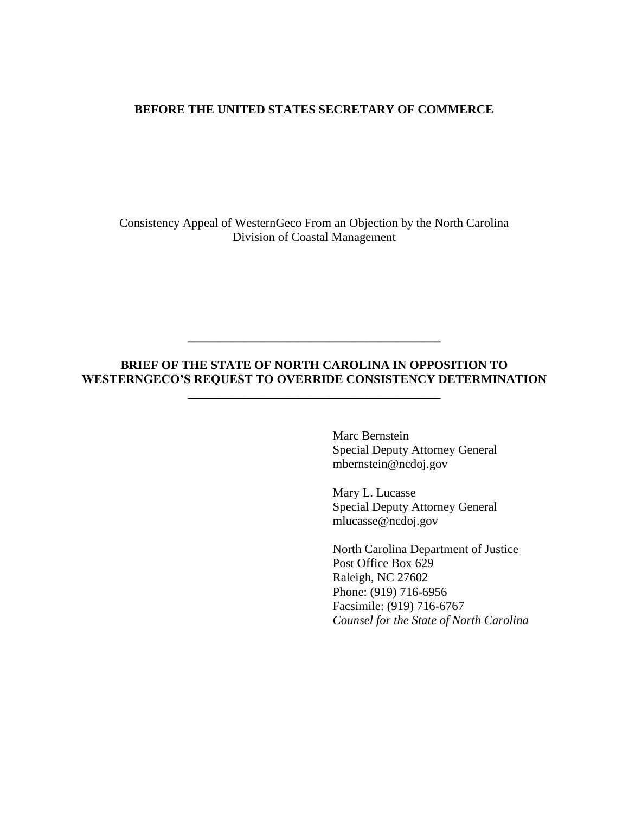### **BEFORE THE UNITED STATES SECRETARY OF COMMERCE**

Consistency Appeal of WesternGeco From an Objection by the North Carolina Division of Coastal Management

## **BRIEF OF THE STATE OF NORTH CAROLINA IN OPPOSITION TO WESTERNGECO'S REQUEST TO OVERRIDE CONSISTENCY DETERMINATION**

**\_\_\_\_\_\_\_\_\_\_\_\_\_\_\_\_\_\_\_\_\_\_\_\_\_\_\_\_\_\_\_\_\_\_\_\_\_\_\_\_\_**

**\_\_\_\_\_\_\_\_\_\_\_\_\_\_\_\_\_\_\_\_\_\_\_\_\_\_\_\_\_\_\_\_\_\_\_\_\_\_\_\_\_**

Marc Bernstein Special Deputy Attorney General mbernstein@ncdoj.gov

Mary L. Lucasse Special Deputy Attorney General mlucasse@ncdoj.gov

North Carolina Department of Justice Post Office Box 629 Raleigh, NC 27602 Phone: (919) 716-6956 Facsimile: (919) 716-6767 *Counsel for the State of North Carolina*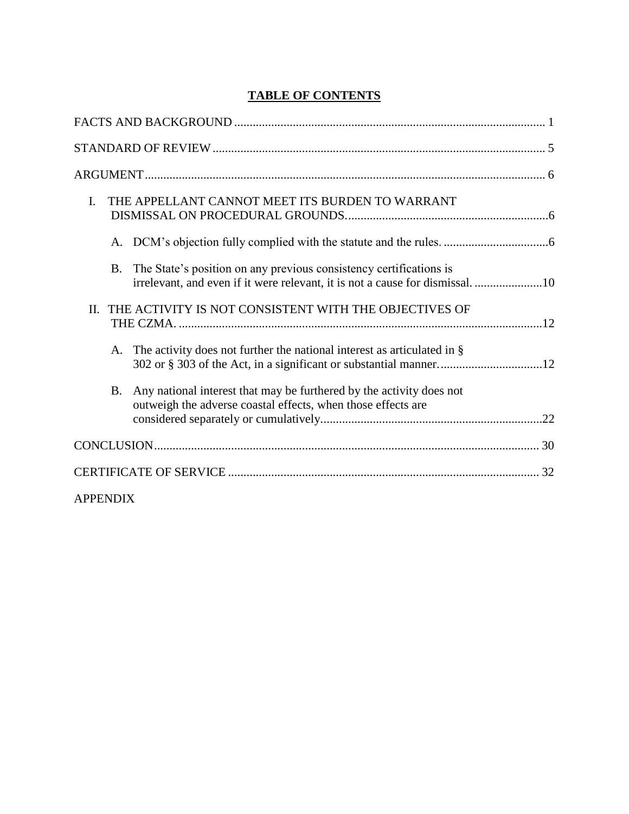# **TABLE OF CONTENTS**

| THE APPELLANT CANNOT MEET ITS BURDEN TO WARRANT<br>$\mathbf{I}$ .                                                                                       |
|---------------------------------------------------------------------------------------------------------------------------------------------------------|
|                                                                                                                                                         |
| The State's position on any previous consistency certifications is<br>B.<br>irrelevant, and even if it were relevant, it is not a cause for dismissal10 |
| THE ACTIVITY IS NOT CONSISTENT WITH THE OBJECTIVES OF<br>$\Pi$ .                                                                                        |
| The activity does not further the national interest as articulated in $\S$<br>A.                                                                        |
| Any national interest that may be furthered by the activity does not<br>B.<br>outweigh the adverse coastal effects, when those effects are              |
|                                                                                                                                                         |
|                                                                                                                                                         |
| <b>APPENDIX</b>                                                                                                                                         |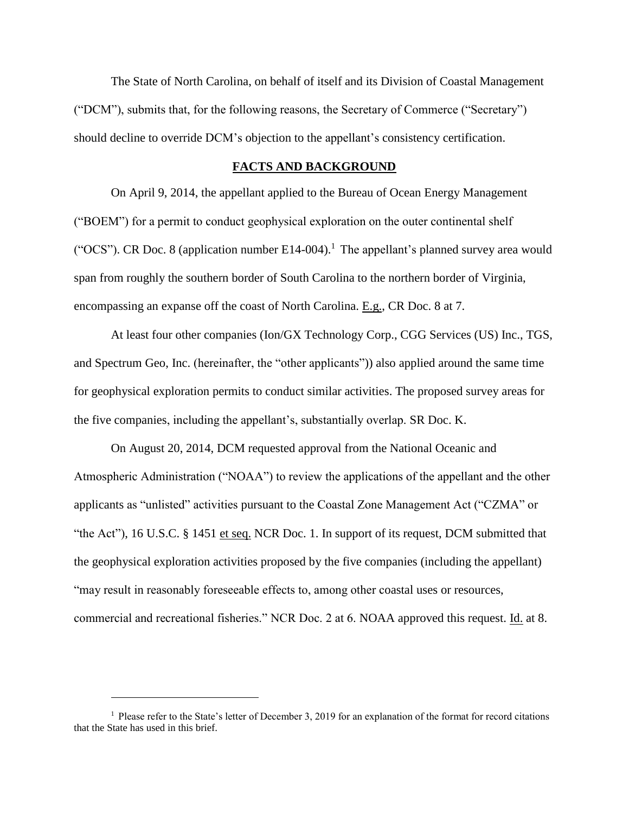The State of North Carolina, on behalf of itself and its Division of Coastal Management ("DCM"), submits that, for the following reasons, the Secretary of Commerce ("Secretary") should decline to override DCM's objection to the appellant's consistency certification.

#### **FACTS AND BACKGROUND**

<span id="page-2-0"></span>On April 9, 2014, the appellant applied to the Bureau of Ocean Energy Management ("BOEM") for a permit to conduct geophysical exploration on the outer continental shelf ("OCS"). CR Doc. 8 (application number  $E14-004$ ).<sup>1</sup> The appellant's planned survey area would span from roughly the southern border of South Carolina to the northern border of Virginia, encompassing an expanse off the coast of North Carolina. E.g., CR Doc. 8 at 7.

At least four other companies (Ion/GX Technology Corp., CGG Services (US) Inc., TGS, and Spectrum Geo, Inc. (hereinafter, the "other applicants")) also applied around the same time for geophysical exploration permits to conduct similar activities. The proposed survey areas for the five companies, including the appellant's, substantially overlap. SR Doc. K.

On August 20, 2014, DCM requested approval from the National Oceanic and Atmospheric Administration ("NOAA") to review the applications of the appellant and the other applicants as "unlisted" activities pursuant to the Coastal Zone Management Act ("CZMA" or "the Act"), 16 U.S.C. § 1451 et seq. NCR Doc. 1. In support of its request, DCM submitted that the geophysical exploration activities proposed by the five companies (including the appellant) "may result in reasonably foreseeable effects to, among other coastal uses or resources, commercial and recreational fisheries." NCR Doc. 2 at 6. NOAA approved this request. Id. at 8.

<sup>1</sup> Please refer to the State's letter of December 3, 2019 for an explanation of the format for record citations that the State has used in this brief.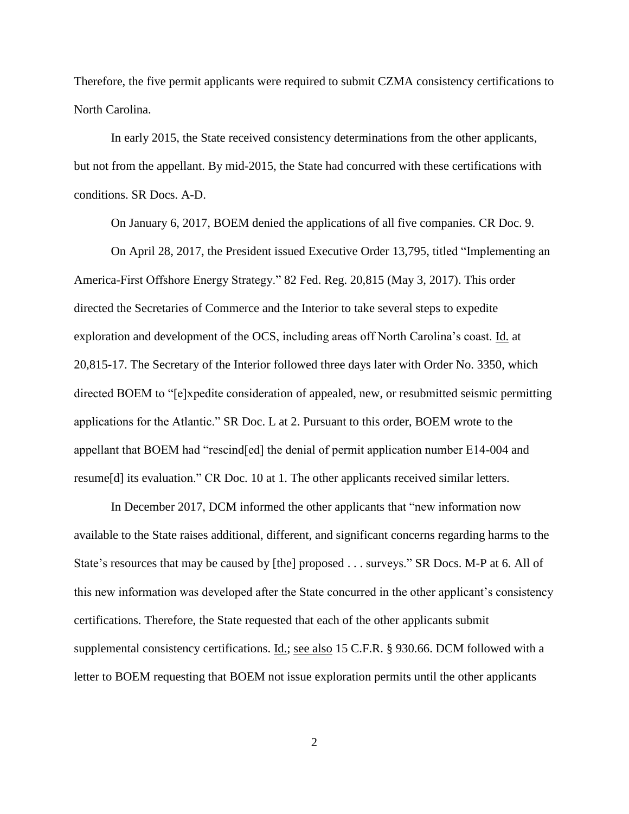Therefore, the five permit applicants were required to submit CZMA consistency certifications to North Carolina.

In early 2015, the State received consistency determinations from the other applicants, but not from the appellant. By mid-2015, the State had concurred with these certifications with conditions. SR Docs. A-D.

On January 6, 2017, BOEM denied the applications of all five companies. CR Doc. 9.

On April 28, 2017, the President issued Executive Order 13,795, titled "Implementing an America-First Offshore Energy Strategy." 82 Fed. Reg. 20,815 (May 3, 2017). This order directed the Secretaries of Commerce and the Interior to take several steps to expedite exploration and development of the OCS, including areas off North Carolina's coast. Id. at 20,815-17. The Secretary of the Interior followed three days later with Order No. 3350, which directed BOEM to "[e]xpedite consideration of appealed, new, or resubmitted seismic permitting applications for the Atlantic." SR Doc. L at 2. Pursuant to this order, BOEM wrote to the appellant that BOEM had "rescind[ed] the denial of permit application number E14-004 and resume[d] its evaluation." CR Doc. 10 at 1. The other applicants received similar letters.

In December 2017, DCM informed the other applicants that "new information now available to the State raises additional, different, and significant concerns regarding harms to the State's resources that may be caused by [the] proposed . . . surveys." SR Docs. M-P at 6. All of this new information was developed after the State concurred in the other applicant's consistency certifications. Therefore, the State requested that each of the other applicants submit supplemental consistency certifications. Id.; see also 15 C.F.R. § 930.66. DCM followed with a letter to BOEM requesting that BOEM not issue exploration permits until the other applicants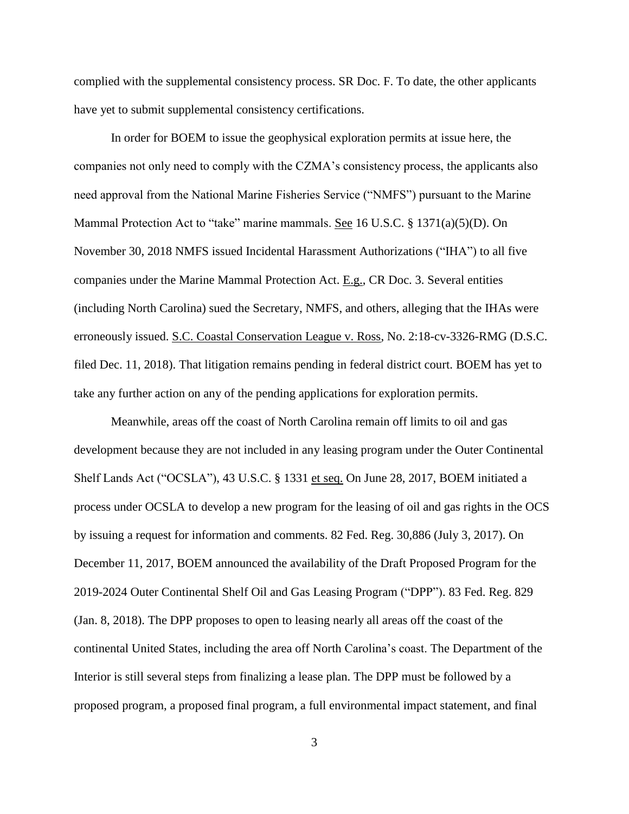complied with the supplemental consistency process. SR Doc. F. To date, the other applicants have yet to submit supplemental consistency certifications.

In order for BOEM to issue the geophysical exploration permits at issue here, the companies not only need to comply with the CZMA's consistency process, the applicants also need approval from the National Marine Fisheries Service ("NMFS") pursuant to the Marine Mammal Protection Act to "take" marine mammals. See 16 U.S.C. § 1371(a)(5)(D). On November 30, 2018 NMFS issued Incidental Harassment Authorizations ("IHA") to all five companies under the Marine Mammal Protection Act. E.g., CR Doc. 3. Several entities (including North Carolina) sued the Secretary, NMFS, and others, alleging that the IHAs were erroneously issued. S.C. Coastal Conservation League v. Ross, No. 2:18-cv-3326-RMG (D.S.C. filed Dec. 11, 2018). That litigation remains pending in federal district court. BOEM has yet to take any further action on any of the pending applications for exploration permits.

Meanwhile, areas off the coast of North Carolina remain off limits to oil and gas development because they are not included in any leasing program under the Outer Continental Shelf Lands Act ("OCSLA"), 43 U.S.C. § 1331 et seq. On June 28, 2017, BOEM initiated a process under OCSLA to develop a new program for the leasing of oil and gas rights in the OCS by issuing a request for information and comments. 82 Fed. Reg. 30,886 (July 3, 2017). On December 11, 2017, BOEM announced the availability of the Draft Proposed Program for the 2019-2024 Outer Continental Shelf Oil and Gas Leasing Program ("DPP"). 83 Fed. Reg. 829 (Jan. 8, 2018). The DPP proposes to open to leasing nearly all areas off the coast of the continental United States, including the area off North Carolina's coast. The Department of the Interior is still several steps from finalizing a lease plan. The DPP must be followed by a proposed program, a proposed final program, a full environmental impact statement, and final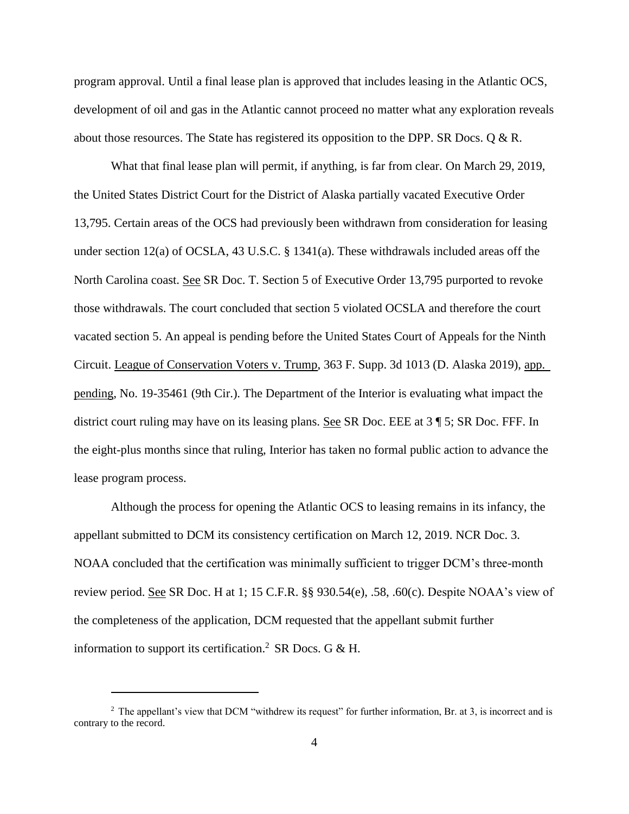program approval. Until a final lease plan is approved that includes leasing in the Atlantic OCS, development of oil and gas in the Atlantic cannot proceed no matter what any exploration reveals about those resources. The State has registered its opposition to the DPP. SR Docs. Q & R.

What that final lease plan will permit, if anything, is far from clear. On March 29, 2019, the United States District Court for the District of Alaska partially vacated Executive Order 13,795. Certain areas of the OCS had previously been withdrawn from consideration for leasing under section 12(a) of OCSLA, 43 U.S.C. § 1341(a). These withdrawals included areas off the North Carolina coast. See SR Doc. T. Section 5 of Executive Order 13,795 purported to revoke those withdrawals. The court concluded that section 5 violated OCSLA and therefore the court vacated section 5. An appeal is pending before the United States Court of Appeals for the Ninth Circuit. League of Conservation Voters v. Trump, 363 F. Supp. 3d 1013 (D. Alaska 2019), app. pending, No. 19-35461 (9th Cir.). The Department of the Interior is evaluating what impact the district court ruling may have on its leasing plans. See SR Doc. EEE at 3 ¶ 5; SR Doc. FFF. In the eight-plus months since that ruling, Interior has taken no formal public action to advance the lease program process.

Although the process for opening the Atlantic OCS to leasing remains in its infancy, the appellant submitted to DCM its consistency certification on March 12, 2019. NCR Doc. 3. NOAA concluded that the certification was minimally sufficient to trigger DCM's three-month review period. See SR Doc. H at 1; 15 C.F.R.  $\S$  930.54(e), .58, .60(c). Despite NOAA's view of the completeness of the application, DCM requested that the appellant submit further information to support its certification.<sup>2</sup> SR Docs. G & H.

<sup>&</sup>lt;sup>2</sup> The appellant's view that DCM "withdrew its request" for further information, Br. at 3, is incorrect and is contrary to the record.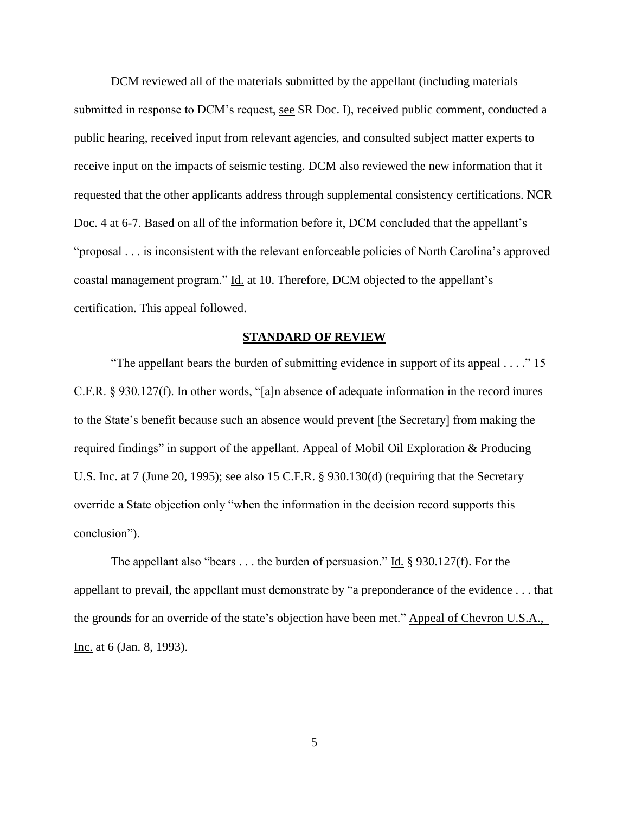DCM reviewed all of the materials submitted by the appellant (including materials submitted in response to DCM's request, see SR Doc. I), received public comment, conducted a public hearing, received input from relevant agencies, and consulted subject matter experts to receive input on the impacts of seismic testing. DCM also reviewed the new information that it requested that the other applicants address through supplemental consistency certifications. NCR Doc. 4 at 6-7. Based on all of the information before it, DCM concluded that the appellant's "proposal . . . is inconsistent with the relevant enforceable policies of North Carolina's approved coastal management program." Id. at 10. Therefore, DCM objected to the appellant's certification. This appeal followed.

#### **STANDARD OF REVIEW**

<span id="page-6-0"></span>"The appellant bears the burden of submitting evidence in support of its appeal . . . ." 15 C.F.R. § 930.127(f). In other words, "[a]n absence of adequate information in the record inures to the State's benefit because such an absence would prevent [the Secretary] from making the required findings" in support of the appellant. Appeal of Mobil Oil Exploration & Producing U.S. Inc. at 7 (June 20, 1995); see also 15 C.F.R. § 930.130(d) (requiring that the Secretary override a State objection only "when the information in the decision record supports this conclusion").

The appellant also "bears . . . the burden of persuasion." Id.  $\S$  930.127(f). For the appellant to prevail, the appellant must demonstrate by "a preponderance of the evidence . . . that the grounds for an override of the state's objection have been met." Appeal of Chevron U.S.A., Inc. at 6 (Jan. 8, 1993).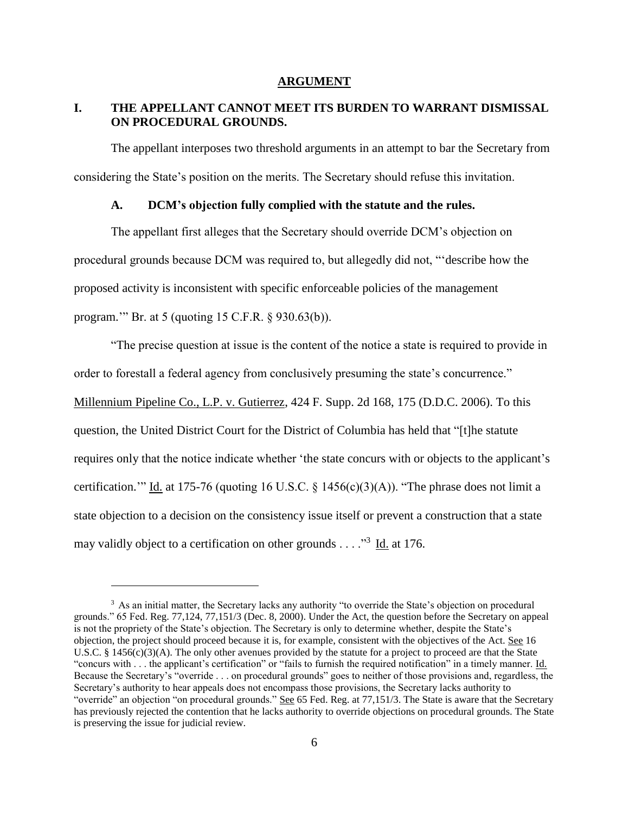#### **ARGUMENT**

### <span id="page-7-1"></span><span id="page-7-0"></span>**I. THE APPELLANT CANNOT MEET ITS BURDEN TO WARRANT DISMISSAL ON PROCEDURAL GROUNDS.**

The appellant interposes two threshold arguments in an attempt to bar the Secretary from considering the State's position on the merits. The Secretary should refuse this invitation.

#### **A. DCM's objection fully complied with the statute and the rules.**

<span id="page-7-2"></span>The appellant first alleges that the Secretary should override DCM's objection on procedural grounds because DCM was required to, but allegedly did not, "'describe how the proposed activity is inconsistent with specific enforceable policies of the management program.'" Br. at 5 (quoting 15 C.F.R. § 930.63(b)).

"The precise question at issue is the content of the notice a state is required to provide in order to forestall a federal agency from conclusively presuming the state's concurrence." Millennium Pipeline Co., L.P. v. Gutierrez, 424 F. Supp. 2d 168, 175 (D.D.C. 2006). To this question, the United District Court for the District of Columbia has held that "[t]he statute requires only that the notice indicate whether 'the state concurs with or objects to the applicant's certification." Id. at 175-76 (quoting 16 U.S.C.  $\S$  1456(c)(3)(A)). "The phrase does not limit a state objection to a decision on the consistency issue itself or prevent a construction that a state may validly object to a certification on other grounds . . . . . . 3 Id. at 176.

<sup>&</sup>lt;sup>3</sup> As an initial matter, the Secretary lacks any authority "to override the State's objection on procedural grounds." 65 Fed. Reg. 77,124, 77,151/3 (Dec. 8, 2000). Under the Act, the question before the Secretary on appeal is not the propriety of the State's objection. The Secretary is only to determine whether, despite the State's objection, the project should proceed because it is, for example, consistent with the objectives of the Act. See 16 U.S.C. § 1456(c)(3)(A). The only other avenues provided by the statute for a project to proceed are that the State "concurs with . . . the applicant's certification" or "fails to furnish the required notification" in a timely manner. Id. Because the Secretary's "override . . . on procedural grounds" goes to neither of those provisions and, regardless, the Secretary's authority to hear appeals does not encompass those provisions, the Secretary lacks authority to "override" an objection "on procedural grounds." See 65 Fed. Reg. at 77,151/3. The State is aware that the Secretary has previously rejected the contention that he lacks authority to override objections on procedural grounds. The State is preserving the issue for judicial review.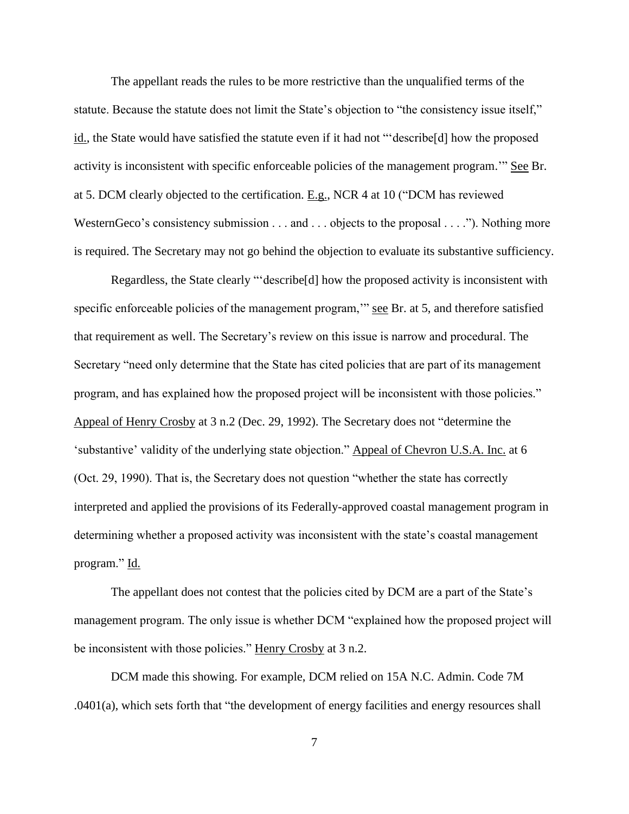The appellant reads the rules to be more restrictive than the unqualified terms of the statute. Because the statute does not limit the State's objection to "the consistency issue itself," id., the State would have satisfied the statute even if it had not "'describe[d] how the proposed activity is inconsistent with specific enforceable policies of the management program.'" See Br. at 5. DCM clearly objected to the certification. E.g., NCR 4 at 10 ("DCM has reviewed WesternGeco's consistency submission . . . and . . . objects to the proposal . . . ."). Nothing more is required. The Secretary may not go behind the objection to evaluate its substantive sufficiency.

Regardless, the State clearly "'describe[d] how the proposed activity is inconsistent with specific enforceable policies of the management program," see Br. at 5, and therefore satisfied that requirement as well. The Secretary's review on this issue is narrow and procedural. The Secretary "need only determine that the State has cited policies that are part of its management program, and has explained how the proposed project will be inconsistent with those policies." Appeal of Henry Crosby at 3 n.2 (Dec. 29, 1992). The Secretary does not "determine the 'substantive' validity of the underlying state objection." Appeal of Chevron U.S.A. Inc. at 6 (Oct. 29, 1990). That is, the Secretary does not question "whether the state has correctly interpreted and applied the provisions of its Federally-approved coastal management program in determining whether a proposed activity was inconsistent with the state's coastal management program." Id.

The appellant does not contest that the policies cited by DCM are a part of the State's management program. The only issue is whether DCM "explained how the proposed project will be inconsistent with those policies." Henry Crosby at 3 n.2.

DCM made this showing. For example, DCM relied on 15A N.C. Admin. Code 7M .0401(a), which sets forth that "the development of energy facilities and energy resources shall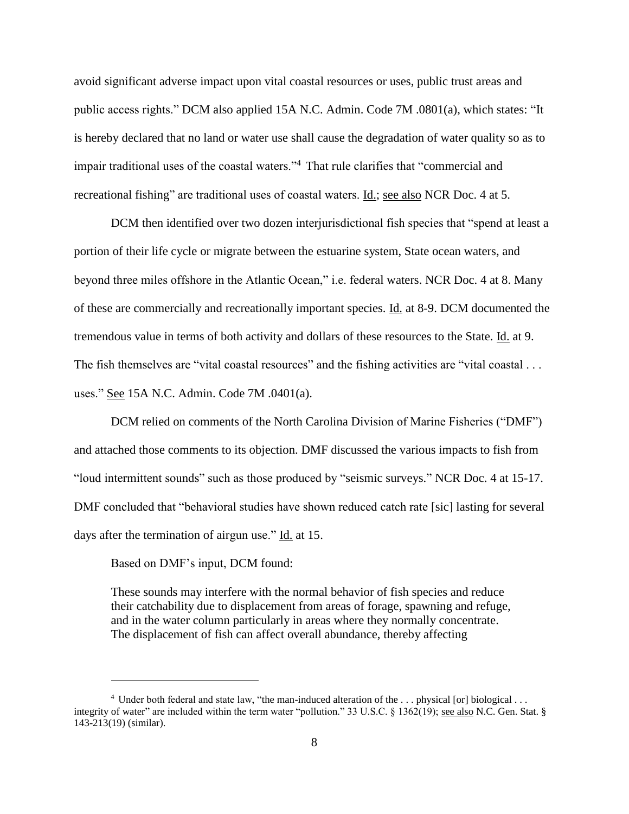avoid significant adverse impact upon vital coastal resources or uses, public trust areas and public access rights." DCM also applied 15A N.C. Admin. Code 7M .0801(a), which states: "It is hereby declared that no land or water use shall cause the degradation of water quality so as to impair traditional uses of the coastal waters."<sup>4</sup> That rule clarifies that "commercial and recreational fishing" are traditional uses of coastal waters. Id.; see also NCR Doc. 4 at 5.

DCM then identified over two dozen interjurisdictional fish species that "spend at least a portion of their life cycle or migrate between the estuarine system, State ocean waters, and beyond three miles offshore in the Atlantic Ocean," i.e. federal waters. NCR Doc. 4 at 8. Many of these are commercially and recreationally important species. Id. at 8-9. DCM documented the tremendous value in terms of both activity and dollars of these resources to the State. Id. at 9. The fish themselves are "vital coastal resources" and the fishing activities are "vital coastal . . . uses." See 15A N.C. Admin. Code 7M .0401(a).

DCM relied on comments of the North Carolina Division of Marine Fisheries ("DMF") and attached those comments to its objection. DMF discussed the various impacts to fish from "loud intermittent sounds" such as those produced by "seismic surveys." NCR Doc. 4 at 15-17. DMF concluded that "behavioral studies have shown reduced catch rate [sic] lasting for several days after the termination of airgun use." Id. at 15.

Based on DMF's input, DCM found:

 $\overline{a}$ 

These sounds may interfere with the normal behavior of fish species and reduce their catchability due to displacement from areas of forage, spawning and refuge, and in the water column particularly in areas where they normally concentrate. The displacement of fish can affect overall abundance, thereby affecting

<sup>4</sup> Under both federal and state law, "the man-induced alteration of the . . . physical [or] biological . . . integrity of water" are included within the term water "pollution." 33 U.S.C. § 1362(19); <u>see also</u> N.C. Gen. Stat. § 143-213(19) (similar).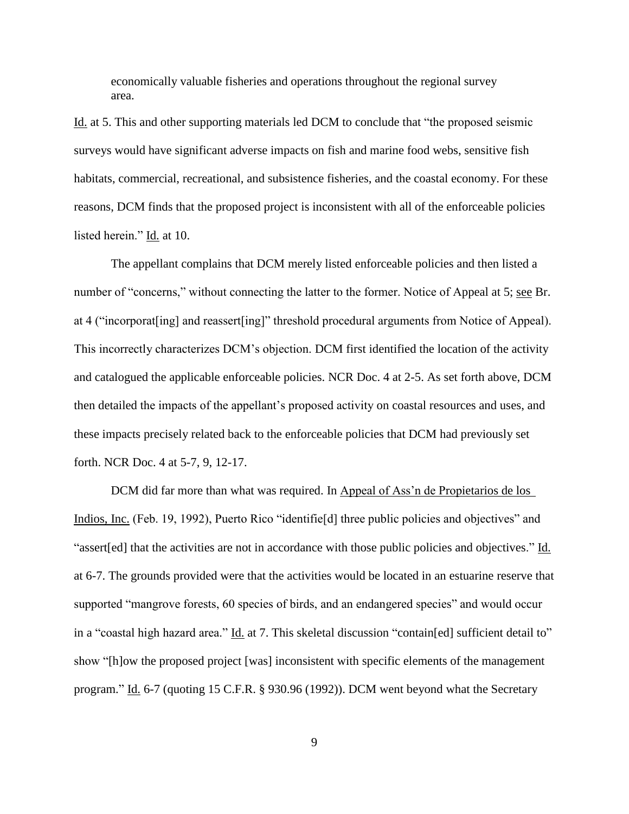economically valuable fisheries and operations throughout the regional survey area.

Id. at 5. This and other supporting materials led DCM to conclude that "the proposed seismic surveys would have significant adverse impacts on fish and marine food webs, sensitive fish habitats, commercial, recreational, and subsistence fisheries, and the coastal economy. For these reasons, DCM finds that the proposed project is inconsistent with all of the enforceable policies listed herein." Id. at 10.

The appellant complains that DCM merely listed enforceable policies and then listed a number of "concerns," without connecting the latter to the former. Notice of Appeal at 5; see Br. at 4 ("incorporat[ing] and reassert[ing]" threshold procedural arguments from Notice of Appeal). This incorrectly characterizes DCM's objection. DCM first identified the location of the activity and catalogued the applicable enforceable policies. NCR Doc. 4 at 2-5. As set forth above, DCM then detailed the impacts of the appellant's proposed activity on coastal resources and uses, and these impacts precisely related back to the enforceable policies that DCM had previously set forth. NCR Doc. 4 at 5-7, 9, 12-17.

DCM did far more than what was required. In Appeal of Ass'n de Propietarios de los Indios, Inc. (Feb. 19, 1992), Puerto Rico "identifie[d] three public policies and objectives" and "assert[ed] that the activities are not in accordance with those public policies and objectives." Id. at 6-7. The grounds provided were that the activities would be located in an estuarine reserve that supported "mangrove forests, 60 species of birds, and an endangered species" and would occur in a "coastal high hazard area." Id. at 7. This skeletal discussion "contain[ed] sufficient detail to" show "[h]ow the proposed project [was] inconsistent with specific elements of the management program." Id. 6-7 (quoting 15 C.F.R. § 930.96 (1992)). DCM went beyond what the Secretary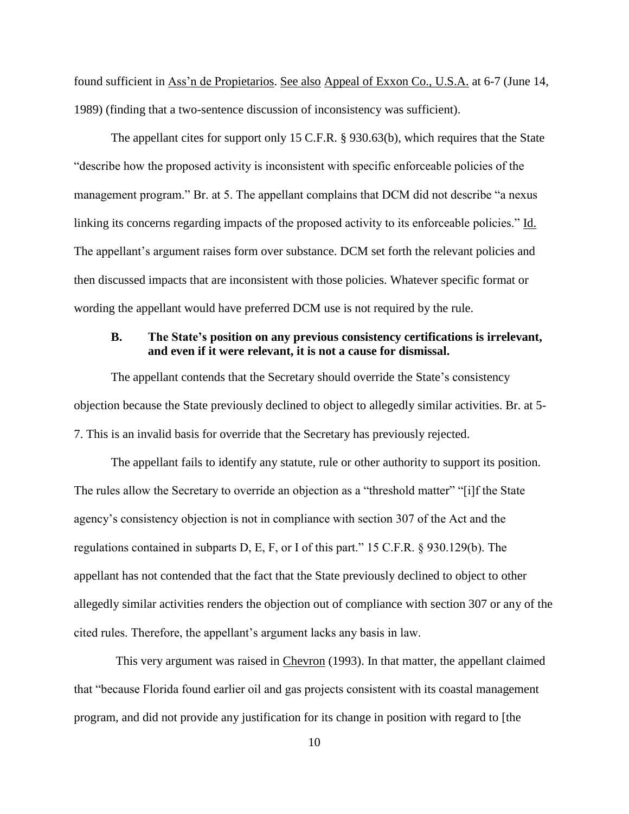found sufficient in Ass'n de Propietarios. See also Appeal of Exxon Co., U.S.A. at 6-7 (June 14, 1989) (finding that a two-sentence discussion of inconsistency was sufficient).

The appellant cites for support only 15 C.F.R. § 930.63(b), which requires that the State "describe how the proposed activity is inconsistent with specific enforceable policies of the management program." Br. at 5. The appellant complains that DCM did not describe "a nexus linking its concerns regarding impacts of the proposed activity to its enforceable policies." Id. The appellant's argument raises form over substance. DCM set forth the relevant policies and then discussed impacts that are inconsistent with those policies. Whatever specific format or wording the appellant would have preferred DCM use is not required by the rule.

### <span id="page-11-0"></span>**B. The State's position on any previous consistency certifications is irrelevant, and even if it were relevant, it is not a cause for dismissal.**

The appellant contends that the Secretary should override the State's consistency objection because the State previously declined to object to allegedly similar activities. Br. at 5- 7. This is an invalid basis for override that the Secretary has previously rejected.

The appellant fails to identify any statute, rule or other authority to support its position. The rules allow the Secretary to override an objection as a "threshold matter" "[i]f the State agency's consistency objection is not in compliance with section 307 of the Act and the regulations contained in subparts D, E, F, or I of this part." 15 C.F.R. § 930.129(b). The appellant has not contended that the fact that the State previously declined to object to other allegedly similar activities renders the objection out of compliance with section 307 or any of the cited rules. Therefore, the appellant's argument lacks any basis in law.

This very argument was raised in Chevron (1993). In that matter, the appellant claimed that "because Florida found earlier oil and gas projects consistent with its coastal management program, and did not provide any justification for its change in position with regard to [the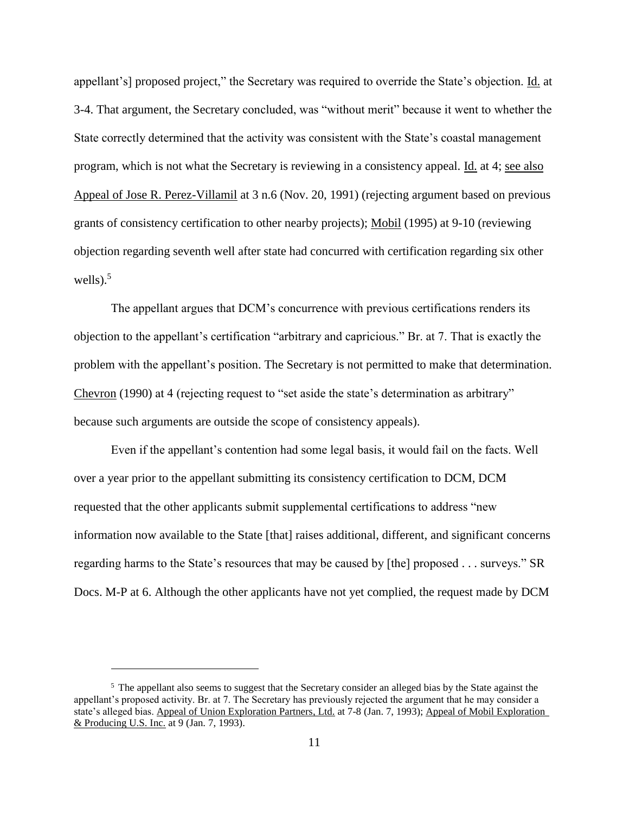appellant's] proposed project," the Secretary was required to override the State's objection. Id. at 3-4. That argument, the Secretary concluded, was "without merit" because it went to whether the State correctly determined that the activity was consistent with the State's coastal management program, which is not what the Secretary is reviewing in a consistency appeal. Id. at 4; see also Appeal of Jose R. Perez-Villamil at 3 n.6 (Nov. 20, 1991) (rejecting argument based on previous grants of consistency certification to other nearby projects); Mobil (1995) at 9-10 (reviewing objection regarding seventh well after state had concurred with certification regarding six other wells). $5$ 

The appellant argues that DCM's concurrence with previous certifications renders its objection to the appellant's certification "arbitrary and capricious." Br. at 7. That is exactly the problem with the appellant's position. The Secretary is not permitted to make that determination. Chevron (1990) at 4 (rejecting request to "set aside the state's determination as arbitrary" because such arguments are outside the scope of consistency appeals).

Even if the appellant's contention had some legal basis, it would fail on the facts. Well over a year prior to the appellant submitting its consistency certification to DCM, DCM requested that the other applicants submit supplemental certifications to address "new information now available to the State [that] raises additional, different, and significant concerns regarding harms to the State's resources that may be caused by [the] proposed . . . surveys." SR Docs. M-P at 6. Although the other applicants have not yet complied, the request made by DCM

<sup>&</sup>lt;sup>5</sup> The appellant also seems to suggest that the Secretary consider an alleged bias by the State against the appellant's proposed activity. Br. at 7. The Secretary has previously rejected the argument that he may consider a state's alleged bias. Appeal of Union Exploration Partners, Ltd. at 7-8 (Jan. 7, 1993); Appeal of Mobil Exploration & Producing U.S. Inc. at 9 (Jan. 7, 1993).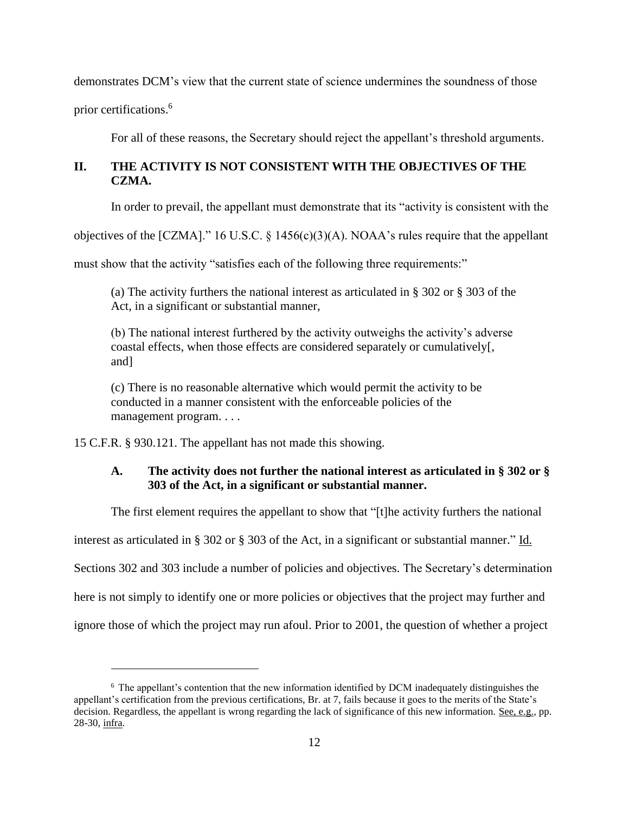demonstrates DCM's view that the current state of science undermines the soundness of those

prior certifications.<sup>6</sup>

 $\overline{a}$ 

For all of these reasons, the Secretary should reject the appellant's threshold arguments.

## <span id="page-13-0"></span>**II. THE ACTIVITY IS NOT CONSISTENT WITH THE OBJECTIVES OF THE CZMA.**

In order to prevail, the appellant must demonstrate that its "activity is consistent with the

objectives of the [CZMA]." 16 U.S.C. § 1456(c)(3)(A). NOAA's rules require that the appellant

must show that the activity "satisfies each of the following three requirements:"

(a) The activity furthers the national interest as articulated in § 302 or § 303 of the Act, in a significant or substantial manner,

(b) The national interest furthered by the activity outweighs the activity's adverse coastal effects, when those effects are considered separately or cumulatively[, and]

(c) There is no reasonable alternative which would permit the activity to be conducted in a manner consistent with the enforceable policies of the management program. . . .

<span id="page-13-1"></span>15 C.F.R. § 930.121. The appellant has not made this showing.

### **A. The activity does not further the national interest as articulated in § 302 or § 303 of the Act, in a significant or substantial manner.**

The first element requires the appellant to show that "[t]he activity furthers the national

interest as articulated in § 302 or § 303 of the Act, in a significant or substantial manner." Id.

Sections 302 and 303 include a number of policies and objectives. The Secretary's determination

here is not simply to identify one or more policies or objectives that the project may further and

ignore those of which the project may run afoul. Prior to 2001, the question of whether a project

<sup>6</sup> The appellant's contention that the new information identified by DCM inadequately distinguishes the appellant's certification from the previous certifications, Br. at 7, fails because it goes to the merits of the State's decision. Regardless, the appellant is wrong regarding the lack of significance of this new information. See, e.g., pp. 28-30, infra.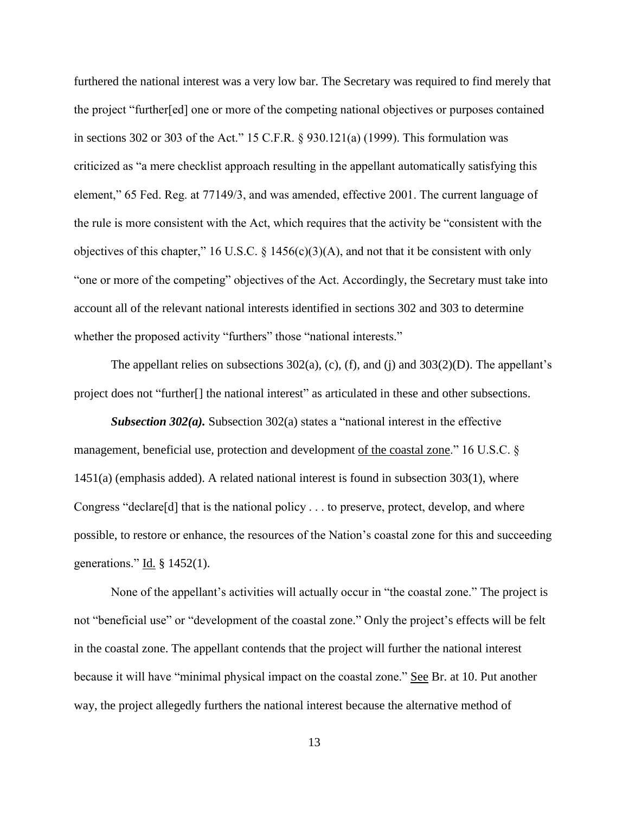furthered the national interest was a very low bar. The Secretary was required to find merely that the project "further[ed] one or more of the competing national objectives or purposes contained in sections 302 or 303 of the Act." 15 C.F.R. § 930.121(a) (1999). This formulation was criticized as "a mere checklist approach resulting in the appellant automatically satisfying this element," 65 Fed. Reg. at 77149/3, and was amended, effective 2001. The current language of the rule is more consistent with the Act, which requires that the activity be "consistent with the objectives of this chapter," 16 U.S.C. § 1456(c)(3)(A), and not that it be consistent with only "one or more of the competing" objectives of the Act. Accordingly, the Secretary must take into account all of the relevant national interests identified in sections 302 and 303 to determine whether the proposed activity "furthers" those "national interests."

The appellant relies on subsections  $302(a)$ , (c), (f), and (j) and  $303(2)(D)$ . The appellant's project does not "further[] the national interest" as articulated in these and other subsections.

*Subsection 302(a).* Subsection 302(a) states a "national interest in the effective management, beneficial use, protection and development of the coastal zone." 16 U.S.C. § 1451(a) (emphasis added). A related national interest is found in subsection 303(1), where Congress "declare[d] that is the national policy . . . to preserve, protect, develop, and where possible, to restore or enhance, the resources of the Nation's coastal zone for this and succeeding generations."  $\underline{Id}$ . § 1452(1).

None of the appellant's activities will actually occur in "the coastal zone." The project is not "beneficial use" or "development of the coastal zone." Only the project's effects will be felt in the coastal zone. The appellant contends that the project will further the national interest because it will have "minimal physical impact on the coastal zone." See Br. at 10. Put another way, the project allegedly furthers the national interest because the alternative method of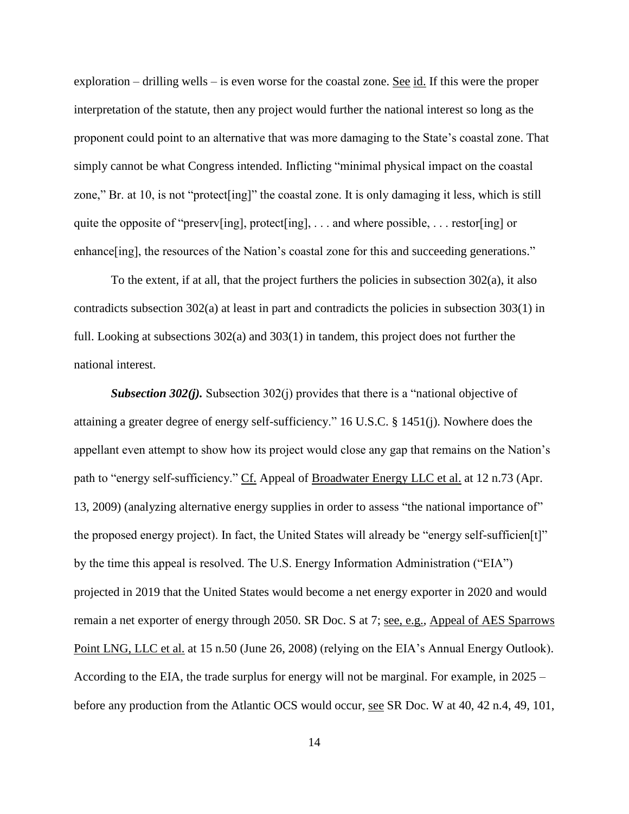exploration – drilling wells – is even worse for the coastal zone. See id. If this were the proper interpretation of the statute, then any project would further the national interest so long as the proponent could point to an alternative that was more damaging to the State's coastal zone. That simply cannot be what Congress intended. Inflicting "minimal physical impact on the coastal zone," Br. at 10, is not "protect[ing]" the coastal zone. It is only damaging it less, which is still quite the opposite of "preserv[ing], protect[ing], . . . and where possible, . . . restor[ing] or enhance [ing], the resources of the Nation's coastal zone for this and succeeding generations."

To the extent, if at all, that the project furthers the policies in subsection 302(a), it also contradicts subsection 302(a) at least in part and contradicts the policies in subsection 303(1) in full. Looking at subsections 302(a) and 303(1) in tandem, this project does not further the national interest.

*Subsection 302(j)*. Subsection 302(j) provides that there is a "national objective of attaining a greater degree of energy self-sufficiency." 16 U.S.C. § 1451(j). Nowhere does the appellant even attempt to show how its project would close any gap that remains on the Nation's path to "energy self-sufficiency." Cf. Appeal of Broadwater Energy LLC et al. at 12 n.73 (Apr. 13, 2009) (analyzing alternative energy supplies in order to assess "the national importance of" the proposed energy project). In fact, the United States will already be "energy self-sufficien[t]" by the time this appeal is resolved. The U.S. Energy Information Administration ("EIA") projected in 2019 that the United States would become a net energy exporter in 2020 and would remain a net exporter of energy through 2050. SR Doc. S at 7; see, e.g., Appeal of AES Sparrows Point LNG, LLC et al. at 15 n.50 (June 26, 2008) (relying on the EIA's Annual Energy Outlook). According to the EIA, the trade surplus for energy will not be marginal. For example, in 2025 – before any production from the Atlantic OCS would occur, see SR Doc. W at 40, 42 n.4, 49, 101,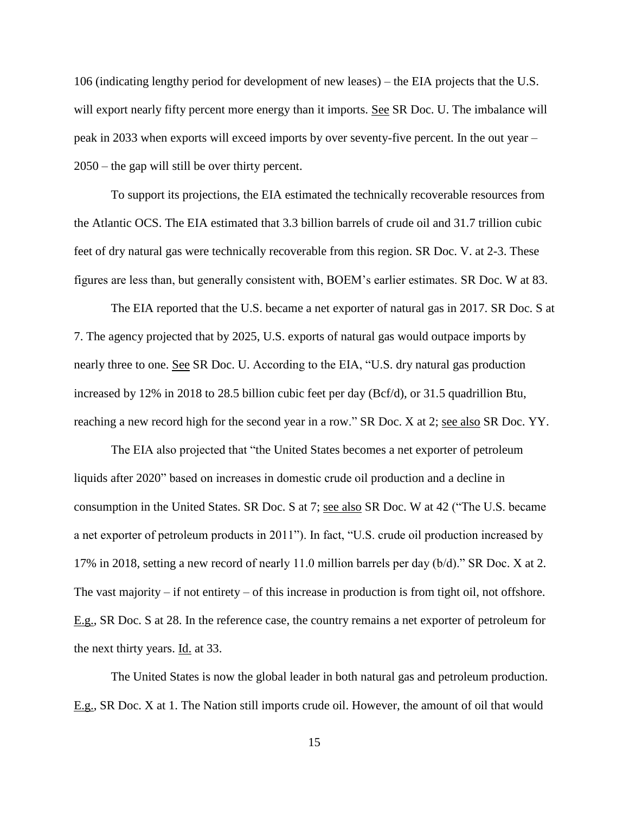106 (indicating lengthy period for development of new leases) – the EIA projects that the U.S. will export nearly fifty percent more energy than it imports. See SR Doc. U. The imbalance will peak in 2033 when exports will exceed imports by over seventy-five percent. In the out year – 2050 – the gap will still be over thirty percent.

To support its projections, the EIA estimated the technically recoverable resources from the Atlantic OCS. The EIA estimated that 3.3 billion barrels of crude oil and 31.7 trillion cubic feet of dry natural gas were technically recoverable from this region. SR Doc. V. at 2-3. These figures are less than, but generally consistent with, BOEM's earlier estimates. SR Doc. W at 83.

The EIA reported that the U.S. became a net exporter of natural gas in 2017. SR Doc. S at 7. The agency projected that by 2025, U.S. exports of natural gas would outpace imports by nearly three to one. See SR Doc. U. According to the EIA, "U.S. dry natural gas production increased by 12% in 2018 to 28.5 billion cubic feet per day (Bcf/d), or 31.5 quadrillion Btu, reaching a new record high for the second year in a row." SR Doc. X at 2; see also SR Doc. YY.

The EIA also projected that "the United States becomes a net exporter of petroleum liquids after 2020" based on increases in domestic crude oil production and a decline in consumption in the United States. SR Doc. S at 7; see also SR Doc. W at 42 ("The U.S. became a net exporter of petroleum products in 2011"). In fact, "U.S. crude oil production increased by 17% in 2018, setting a new record of nearly 11.0 million barrels per day (b/d)." SR Doc. X at 2. The vast majority  $-$  if not entirety  $-$  of this increase in production is from tight oil, not offshore. E.g., SR Doc. S at 28. In the reference case, the country remains a net exporter of petroleum for the next thirty years. Id. at 33.

The United States is now the global leader in both natural gas and petroleum production. E.g., SR Doc. X at 1. The Nation still imports crude oil. However, the amount of oil that would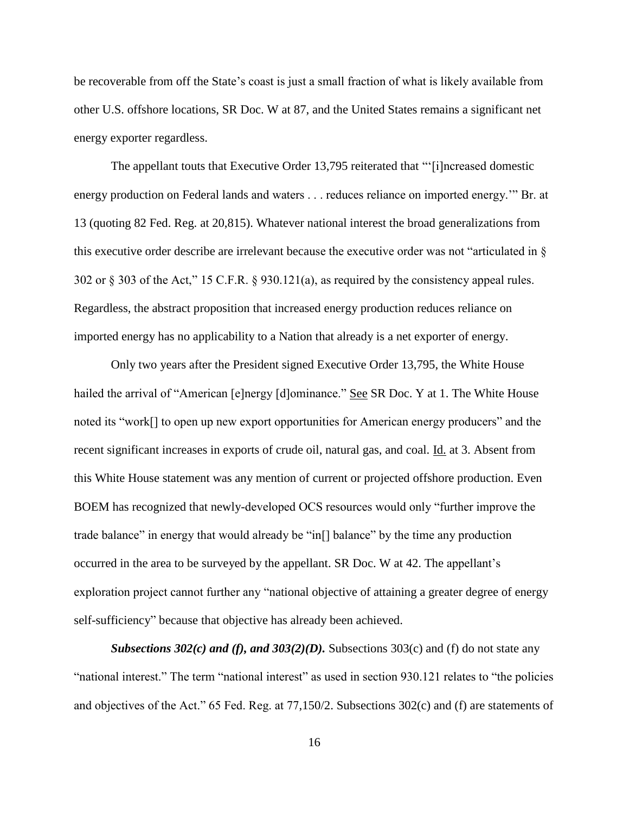be recoverable from off the State's coast is just a small fraction of what is likely available from other U.S. offshore locations, SR Doc. W at 87, and the United States remains a significant net energy exporter regardless.

The appellant touts that Executive Order 13,795 reiterated that "'[i]ncreased domestic energy production on Federal lands and waters . . . reduces reliance on imported energy.'" Br. at 13 (quoting 82 Fed. Reg. at 20,815). Whatever national interest the broad generalizations from this executive order describe are irrelevant because the executive order was not "articulated in § 302 or § 303 of the Act," 15 C.F.R. § 930.121(a), as required by the consistency appeal rules. Regardless, the abstract proposition that increased energy production reduces reliance on imported energy has no applicability to a Nation that already is a net exporter of energy.

Only two years after the President signed Executive Order 13,795, the White House hailed the arrival of "American [e]nergy [d]ominance." See SR Doc. Y at 1. The White House noted its "work[] to open up new export opportunities for American energy producers" and the recent significant increases in exports of crude oil, natural gas, and coal. Id. at 3. Absent from this White House statement was any mention of current or projected offshore production. Even BOEM has recognized that newly-developed OCS resources would only "further improve the trade balance" in energy that would already be "in[] balance" by the time any production occurred in the area to be surveyed by the appellant. SR Doc. W at 42. The appellant's exploration project cannot further any "national objective of attaining a greater degree of energy self-sufficiency" because that objective has already been achieved.

*Subsections 302(c) and (f), and 303(2)(D).* Subsections 303(c) and (f) do not state any "national interest." The term "national interest" as used in section 930.121 relates to "the policies and objectives of the Act." 65 Fed. Reg. at 77,150/2. Subsections 302(c) and (f) are statements of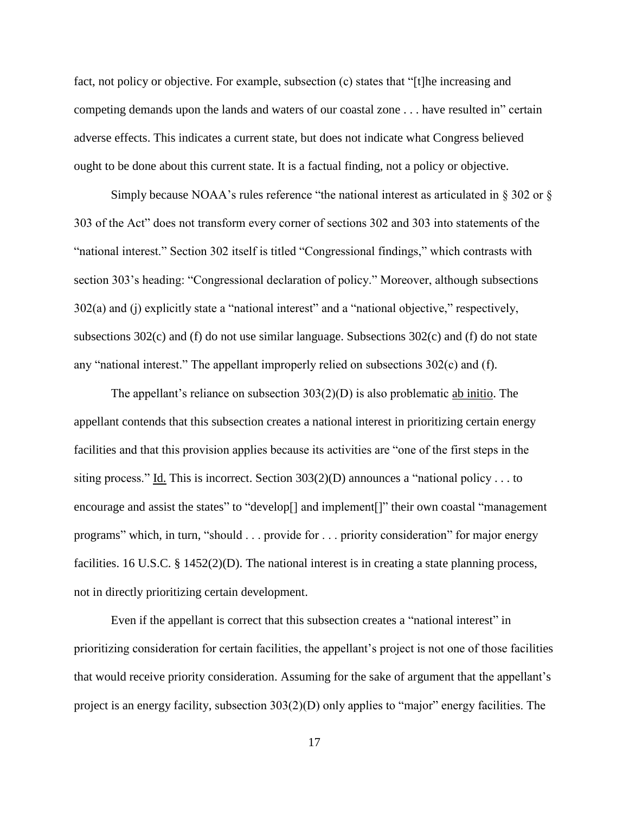fact, not policy or objective. For example, subsection (c) states that "[t]he increasing and competing demands upon the lands and waters of our coastal zone . . . have resulted in" certain adverse effects. This indicates a current state, but does not indicate what Congress believed ought to be done about this current state. It is a factual finding, not a policy or objective.

Simply because NOAA's rules reference "the national interest as articulated in  $\S 302$  or  $\S$ 303 of the Act" does not transform every corner of sections 302 and 303 into statements of the "national interest." Section 302 itself is titled "Congressional findings," which contrasts with section 303's heading: "Congressional declaration of policy." Moreover, although subsections 302(a) and (j) explicitly state a "national interest" and a "national objective," respectively, subsections 302(c) and (f) do not use similar language. Subsections 302(c) and (f) do not state any "national interest." The appellant improperly relied on subsections 302(c) and (f).

The appellant's reliance on subsection  $303(2)(D)$  is also problematic ab initio. The appellant contends that this subsection creates a national interest in prioritizing certain energy facilities and that this provision applies because its activities are "one of the first steps in the siting process." Id. This is incorrect. Section  $303(2)(D)$  announces a "national policy . . . to encourage and assist the states" to "develop<sup>[]</sup> and implement<sup>[]"</sup> their own coastal "management" programs" which, in turn, "should . . . provide for . . . priority consideration" for major energy facilities. 16 U.S.C. § 1452(2)(D). The national interest is in creating a state planning process, not in directly prioritizing certain development.

Even if the appellant is correct that this subsection creates a "national interest" in prioritizing consideration for certain facilities, the appellant's project is not one of those facilities that would receive priority consideration. Assuming for the sake of argument that the appellant's project is an energy facility, subsection 303(2)(D) only applies to "major" energy facilities. The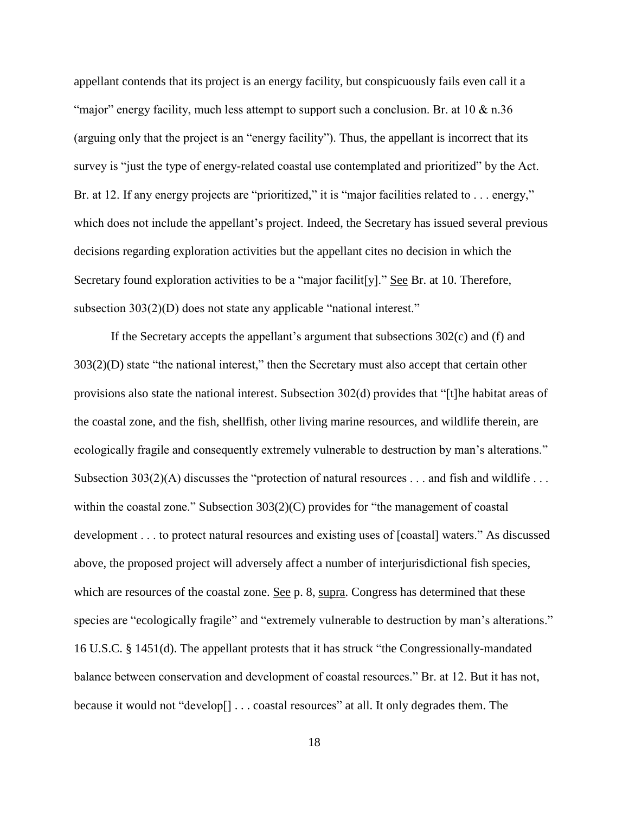appellant contends that its project is an energy facility, but conspicuously fails even call it a "major" energy facility, much less attempt to support such a conclusion. Br. at  $10 \& n.36$ (arguing only that the project is an "energy facility"). Thus, the appellant is incorrect that its survey is "just the type of energy-related coastal use contemplated and prioritized" by the Act. Br. at 12. If any energy projects are "prioritized," it is "major facilities related to . . . energy," which does not include the appellant's project. Indeed, the Secretary has issued several previous decisions regarding exploration activities but the appellant cites no decision in which the Secretary found exploration activities to be a "major facilit [y]." See Br. at 10. Therefore, subsection 303(2)(D) does not state any applicable "national interest."

If the Secretary accepts the appellant's argument that subsections  $302(c)$  and (f) and 303(2)(D) state "the national interest," then the Secretary must also accept that certain other provisions also state the national interest. Subsection 302(d) provides that "[t]he habitat areas of the coastal zone, and the fish, shellfish, other living marine resources, and wildlife therein, are ecologically fragile and consequently extremely vulnerable to destruction by man's alterations." Subsection 303(2)(A) discusses the "protection of natural resources . . . and fish and wildlife . . . within the coastal zone." Subsection 303(2)(C) provides for "the management of coastal development . . . to protect natural resources and existing uses of [coastal] waters." As discussed above, the proposed project will adversely affect a number of interjurisdictional fish species, which are resources of the coastal zone. <u>See</u> p. 8, supra. Congress has determined that these species are "ecologically fragile" and "extremely vulnerable to destruction by man's alterations." 16 U.S.C. § 1451(d). The appellant protests that it has struck "the Congressionally-mandated balance between conservation and development of coastal resources." Br. at 12. But it has not, because it would not "develop[] . . . coastal resources" at all. It only degrades them. The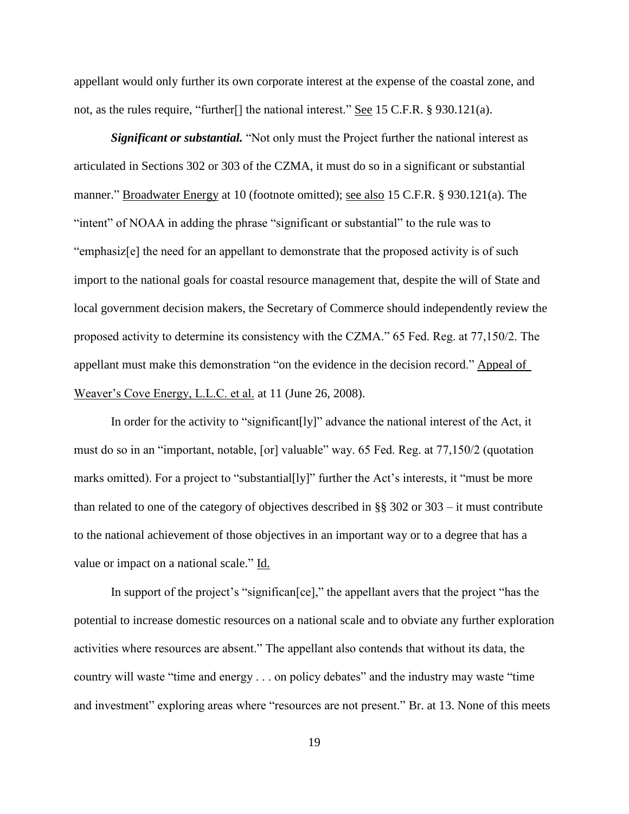appellant would only further its own corporate interest at the expense of the coastal zone, and not, as the rules require, "further<sup>[]</sup> the national interest." See 15 C.F.R. § 930.121(a).

*Significant or substantial.* "Not only must the Project further the national interest as articulated in Sections 302 or 303 of the CZMA, it must do so in a significant or substantial manner." Broadwater Energy at 10 (footnote omitted); see also 15 C.F.R. § 930.121(a). The "intent" of NOAA in adding the phrase "significant or substantial" to the rule was to "emphasiz[e] the need for an appellant to demonstrate that the proposed activity is of such import to the national goals for coastal resource management that, despite the will of State and local government decision makers, the Secretary of Commerce should independently review the proposed activity to determine its consistency with the CZMA." 65 Fed. Reg. at 77,150/2. The appellant must make this demonstration "on the evidence in the decision record." Appeal of Weaver's Cove Energy, L.L.C. et al. at 11 (June 26, 2008).

In order for the activity to "significant[ly]" advance the national interest of the Act, it must do so in an "important, notable, [or] valuable" way. 65 Fed. Reg. at 77,150/2 (quotation marks omitted). For a project to "substantial [ly]" further the Act's interests, it "must be more than related to one of the category of objectives described in §§ 302 or 303 – it must contribute to the national achievement of those objectives in an important way or to a degree that has a value or impact on a national scale." Id.

In support of the project's "significan[ce]," the appellant avers that the project "has the potential to increase domestic resources on a national scale and to obviate any further exploration activities where resources are absent." The appellant also contends that without its data, the country will waste "time and energy . . . on policy debates" and the industry may waste "time and investment" exploring areas where "resources are not present." Br. at 13. None of this meets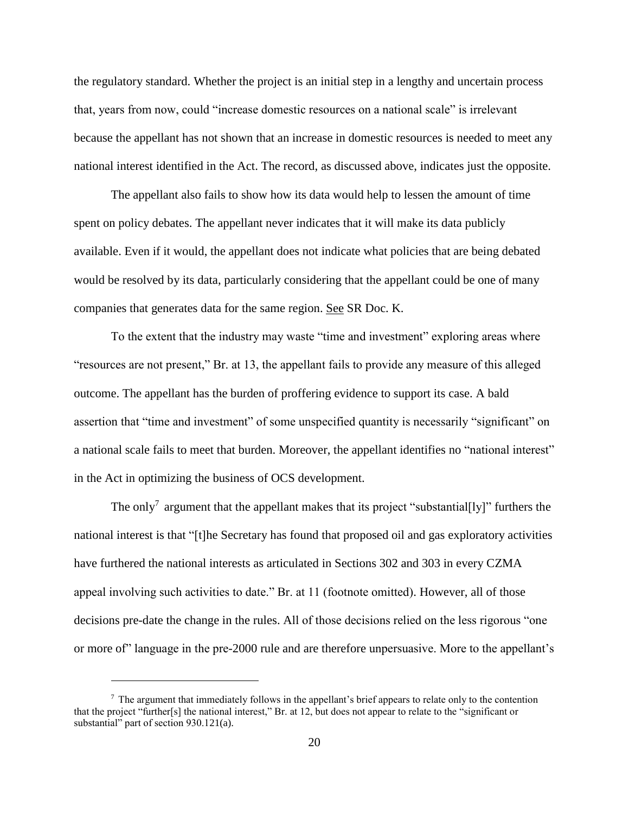the regulatory standard. Whether the project is an initial step in a lengthy and uncertain process that, years from now, could "increase domestic resources on a national scale" is irrelevant because the appellant has not shown that an increase in domestic resources is needed to meet any national interest identified in the Act. The record, as discussed above, indicates just the opposite.

The appellant also fails to show how its data would help to lessen the amount of time spent on policy debates. The appellant never indicates that it will make its data publicly available. Even if it would, the appellant does not indicate what policies that are being debated would be resolved by its data, particularly considering that the appellant could be one of many companies that generates data for the same region. See SR Doc. K.

To the extent that the industry may waste "time and investment" exploring areas where "resources are not present," Br. at 13, the appellant fails to provide any measure of this alleged outcome. The appellant has the burden of proffering evidence to support its case. A bald assertion that "time and investment" of some unspecified quantity is necessarily "significant" on a national scale fails to meet that burden. Moreover, the appellant identifies no "national interest" in the Act in optimizing the business of OCS development.

The only<sup>7</sup> argument that the appellant makes that its project "substantial[ly]" furthers the national interest is that "[t]he Secretary has found that proposed oil and gas exploratory activities have furthered the national interests as articulated in Sections 302 and 303 in every CZMA appeal involving such activities to date." Br. at 11 (footnote omitted). However, all of those decisions pre-date the change in the rules. All of those decisions relied on the less rigorous "one or more of" language in the pre-2000 rule and are therefore unpersuasive. More to the appellant's

 $<sup>7</sup>$  The argument that immediately follows in the appellant's brief appears to relate only to the contention</sup> that the project "further[s] the national interest," Br. at 12, but does not appear to relate to the "significant or substantial" part of section 930.121(a).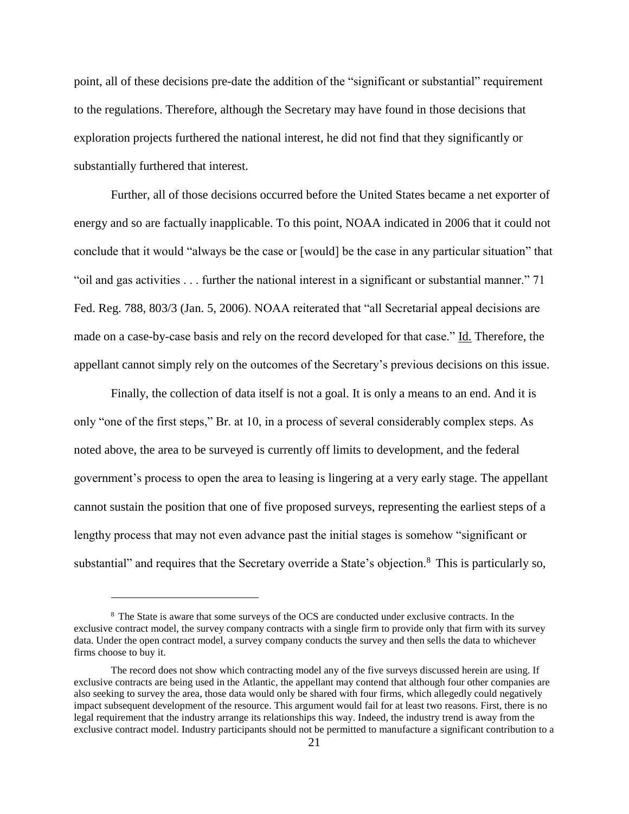point, all of these decisions pre-date the addition of the "significant or substantial" requirement to the regulations. Therefore, although the Secretary may have found in those decisions that exploration projects furthered the national interest, he did not find that they significantly or substantially furthered that interest.

Further, all of those decisions occurred before the United States became a net exporter of energy and so are factually inapplicable. To this point, NOAA indicated in 2006 that it could not conclude that it would "always be the case or [would] be the case in any particular situation" that "oil and gas activities . . . further the national interest in a significant or substantial manner." 71 Fed. Reg. 788, 803/3 (Jan. 5, 2006). NOAA reiterated that "all Secretarial appeal decisions are made on a case-by-case basis and rely on the record developed for that case." Id. Therefore, the appellant cannot simply rely on the outcomes of the Secretary's previous decisions on this issue.

Finally, the collection of data itself is not a goal. It is only a means to an end. And it is only "one of the first steps," Br. at 10, in a process of several considerably complex steps. As noted above, the area to be surveyed is currently off limits to development, and the federal government's process to open the area to leasing is lingering at a very early stage. The appellant cannot sustain the position that one of five proposed surveys, representing the earliest steps of a lengthy process that may not even advance past the initial stages is somehow "significant or substantial" and requires that the Secretary override a State's objection.<sup>8</sup> This is particularly so,

<sup>8</sup> The State is aware that some surveys of the OCS are conducted under exclusive contracts. In the exclusive contract model, the survey company contracts with a single firm to provide only that firm with its survey data. Under the open contract model, a survey company conducts the survey and then sells the data to whichever firms choose to buy it.

The record does not show which contracting model any of the five surveys discussed herein are using. If exclusive contracts are being used in the Atlantic, the appellant may contend that although four other companies are also seeking to survey the area, those data would only be shared with four firms, which allegedly could negatively impact subsequent development of the resource. This argument would fail for at least two reasons. First, there is no legal requirement that the industry arrange its relationships this way. Indeed, the industry trend is away from the exclusive contract model. Industry participants should not be permitted to manufacture a significant contribution to a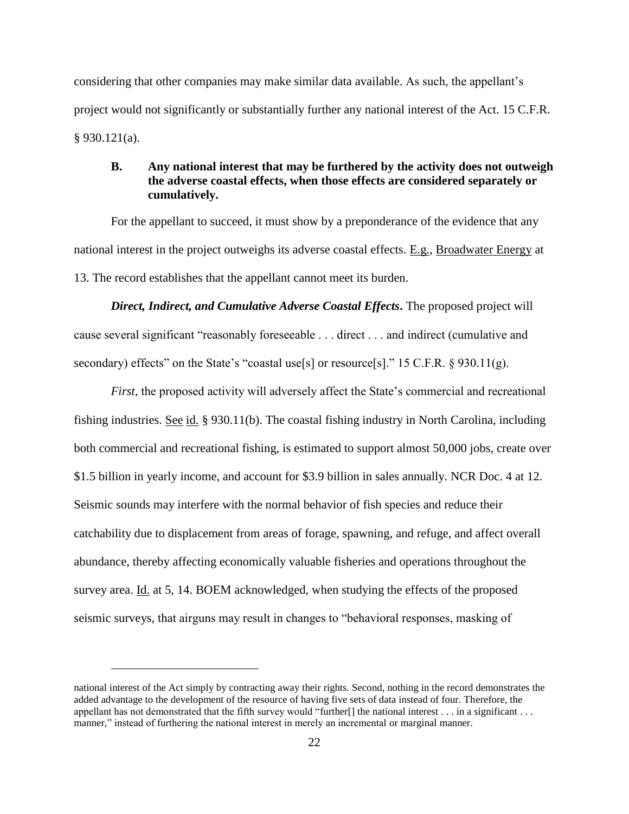considering that other companies may make similar data available. As such, the appellant's project would not significantly or substantially further any national interest of the Act. 15 C.F.R. § 930.121(a).

### <span id="page-23-0"></span>**B. Any national interest that may be furthered by the activity does not outweigh the adverse coastal effects, when those effects are considered separately or cumulatively.**

For the appellant to succeed, it must show by a preponderance of the evidence that any national interest in the project outweighs its adverse coastal effects. E.g., Broadwater Energy at 13. The record establishes that the appellant cannot meet its burden.

*Direct, Indirect, and Cumulative Adverse Coastal Effects***.** The proposed project will cause several significant "reasonably foreseeable . . . direct . . . and indirect (cumulative and secondary) effects" on the State's "coastal use[s] or resource[s]." 15 C.F.R. § 930.11(g).

*First*, the proposed activity will adversely affect the State's commercial and recreational fishing industries. See id. § 930.11(b). The coastal fishing industry in North Carolina, including both commercial and recreational fishing, is estimated to support almost 50,000 jobs, create over \$1.5 billion in yearly income, and account for \$3.9 billion in sales annually. NCR Doc. 4 at 12. Seismic sounds may interfere with the normal behavior of fish species and reduce their catchability due to displacement from areas of forage, spawning, and refuge, and affect overall abundance, thereby affecting economically valuable fisheries and operations throughout the survey area. Id. at 5, 14. BOEM acknowledged, when studying the effects of the proposed seismic surveys, that airguns may result in changes to "behavioral responses, masking of

national interest of the Act simply by contracting away their rights. Second, nothing in the record demonstrates the added advantage to the development of the resource of having five sets of data instead of four. Therefore, the appellant has not demonstrated that the fifth survey would "further[] the national interest . . . in a significant . . . manner," instead of furthering the national interest in merely an incremental or marginal manner.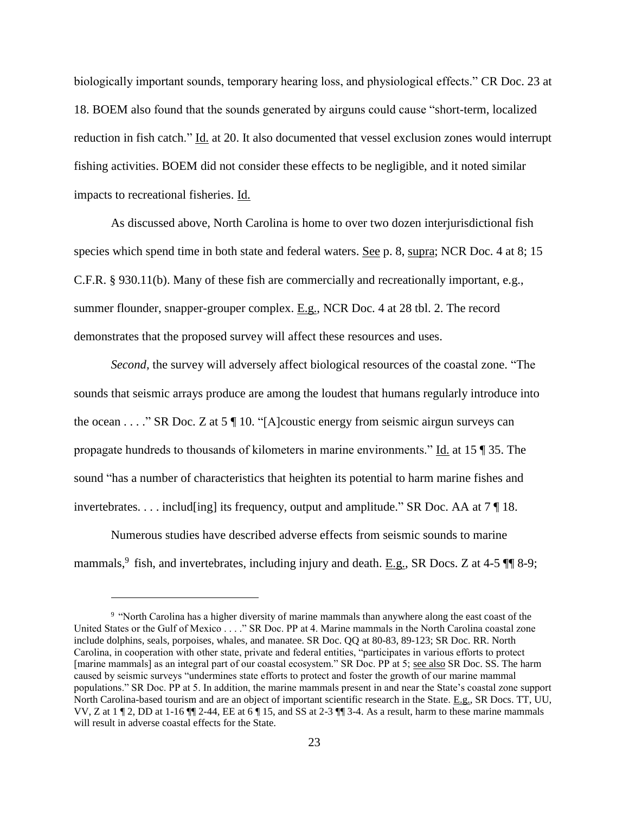biologically important sounds, temporary hearing loss, and physiological effects." CR Doc. 23 at 18. BOEM also found that the sounds generated by airguns could cause "short-term, localized reduction in fish catch." Id. at 20. It also documented that vessel exclusion zones would interrupt fishing activities. BOEM did not consider these effects to be negligible, and it noted similar impacts to recreational fisheries. Id.

As discussed above, North Carolina is home to over two dozen interjurisdictional fish species which spend time in both state and federal waters. See p. 8, supra; NCR Doc. 4 at 8; 15 C.F.R. § 930.11(b). Many of these fish are commercially and recreationally important, e.g., summer flounder, snapper-grouper complex. E.g., NCR Doc. 4 at 28 tbl. 2. The record demonstrates that the proposed survey will affect these resources and uses.

*Second,* the survey will adversely affect biological resources of the coastal zone. "The sounds that seismic arrays produce are among the loudest that humans regularly introduce into the ocean . . . ." SR Doc. Z at 5  $\P$  10. "[A]coustic energy from seismic airgun surveys can propagate hundreds to thousands of kilometers in marine environments." Id. at 15 ¶ 35. The sound "has a number of characteristics that heighten its potential to harm marine fishes and invertebrates. . . . includ[ing] its frequency, output and amplitude." SR Doc. AA at  $7 \parallel 18$ .

Numerous studies have described adverse effects from seismic sounds to marine mammals,  $9$  fish, and invertebrates, including injury and death. E.g., SR Docs. Z at 4-5  $\P$  8-9;

<sup>&</sup>lt;sup>9</sup> "North Carolina has a higher diversity of marine mammals than anywhere along the east coast of the United States or the Gulf of Mexico . . . ." SR Doc. PP at 4. Marine mammals in the North Carolina coastal zone include dolphins, seals, porpoises, whales, and manatee. SR Doc. QQ at 80-83, 89-123; SR Doc. RR. North Carolina, in cooperation with other state, private and federal entities, "participates in various efforts to protect [marine mammals] as an integral part of our coastal ecosystem." SR Doc. PP at 5; see also SR Doc. SS. The harm caused by seismic surveys "undermines state efforts to protect and foster the growth of our marine mammal populations." SR Doc. PP at 5. In addition, the marine mammals present in and near the State's coastal zone support North Carolina-based tourism and are an object of important scientific research in the State. E.g., SR Docs. TT, UU, VV, Z at 1 ¶ 2, DD at 1-16 ¶¶ 2-44, EE at 6 ¶ 15, and SS at 2-3 ¶¶ 3-4. As a result, harm to these marine mammals will result in adverse coastal effects for the State.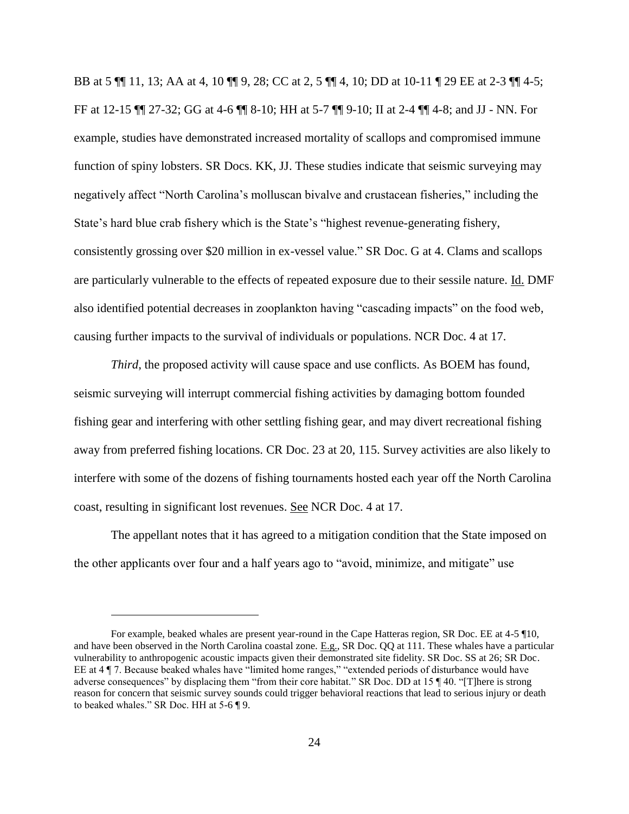BB at 5 ¶¶ 11, 13; AA at 4, 10 ¶¶ 9, 28; CC at 2, 5 ¶¶ 4, 10; DD at 10-11 ¶ 29 EE at 2-3 ¶¶ 4-5; FF at 12-15 ¶¶ 27-32; GG at 4-6 ¶¶ 8-10; HH at 5-7 ¶¶ 9-10; II at 2-4 ¶¶ 4-8; and JJ - NN. For example, studies have demonstrated increased mortality of scallops and compromised immune function of spiny lobsters. SR Docs. KK, JJ. These studies indicate that seismic surveying may negatively affect "North Carolina's molluscan bivalve and crustacean fisheries," including the State's hard blue crab fishery which is the State's "highest revenue-generating fishery, consistently grossing over \$20 million in ex-vessel value." SR Doc. G at 4. Clams and scallops are particularly vulnerable to the effects of repeated exposure due to their sessile nature. Id. DMF also identified potential decreases in zooplankton having "cascading impacts" on the food web, causing further impacts to the survival of individuals or populations. NCR Doc. 4 at 17.

*Third*, the proposed activity will cause space and use conflicts. As BOEM has found, seismic surveying will interrupt commercial fishing activities by damaging bottom founded fishing gear and interfering with other settling fishing gear, and may divert recreational fishing away from preferred fishing locations. CR Doc. 23 at 20, 115. Survey activities are also likely to interfere with some of the dozens of fishing tournaments hosted each year off the North Carolina coast, resulting in significant lost revenues. See NCR Doc. 4 at 17.

The appellant notes that it has agreed to a mitigation condition that the State imposed on the other applicants over four and a half years ago to "avoid, minimize, and mitigate" use

For example, beaked whales are present year-round in the Cape Hatteras region, SR Doc. EE at 4-5 ¶10, and have been observed in the North Carolina coastal zone. E.g., SR Doc. QQ at 111. These whales have a particular vulnerability to anthropogenic acoustic impacts given their demonstrated site fidelity. SR Doc. SS at 26; SR Doc. EE at 4 ¶ 7. Because beaked whales have "limited home ranges," "extended periods of disturbance would have adverse consequences" by displacing them "from their core habitat." SR Doc. DD at 15 ¶ 40. "[T]here is strong reason for concern that seismic survey sounds could trigger behavioral reactions that lead to serious injury or death to beaked whales." SR Doc. HH at 5-6 ¶ 9.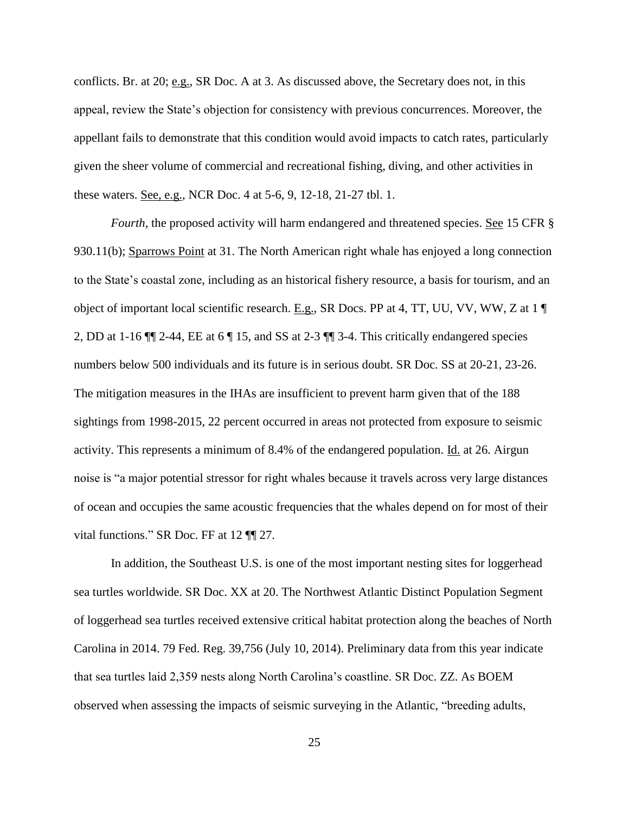conflicts. Br. at 20; e.g., SR Doc. A at 3. As discussed above, the Secretary does not, in this appeal, review the State's objection for consistency with previous concurrences. Moreover, the appellant fails to demonstrate that this condition would avoid impacts to catch rates, particularly given the sheer volume of commercial and recreational fishing, diving, and other activities in these waters. See, e.g., NCR Doc. 4 at 5-6, 9, 12-18, 21-27 tbl. 1.

*Fourth*, the proposed activity will harm endangered and threatened species. See 15 CFR § 930.11(b); Sparrows Point at 31. The North American right whale has enjoyed a long connection to the State's coastal zone, including as an historical fishery resource, a basis for tourism, and an object of important local scientific research. E.g., SR Docs. PP at 4, TT, UU, VV, WW, Z at 1 ¶ 2, DD at 1-16 ¶¶ 2-44, EE at 6 ¶ 15, and SS at 2-3 ¶¶ 3-4. This critically endangered species numbers below 500 individuals and its future is in serious doubt. SR Doc. SS at 20-21, 23-26. The mitigation measures in the IHAs are insufficient to prevent harm given that of the 188 sightings from 1998-2015, 22 percent occurred in areas not protected from exposure to seismic activity. This represents a minimum of 8.4% of the endangered population. Id. at 26. Airgun noise is "a major potential stressor for right whales because it travels across very large distances of ocean and occupies the same acoustic frequencies that the whales depend on for most of their vital functions." SR Doc. FF at 12 ¶¶ 27.

In addition, the Southeast U.S. is one of the most important nesting sites for loggerhead sea turtles worldwide. SR Doc. XX at 20. The Northwest Atlantic Distinct Population Segment of loggerhead sea turtles received extensive critical habitat protection along the beaches of North Carolina in 2014. 79 Fed. Reg. 39,756 (July 10, 2014). Preliminary data from this year indicate that sea turtles laid 2,359 nests along North Carolina's coastline. SR Doc. ZZ. As BOEM observed when assessing the impacts of seismic surveying in the Atlantic, "breeding adults,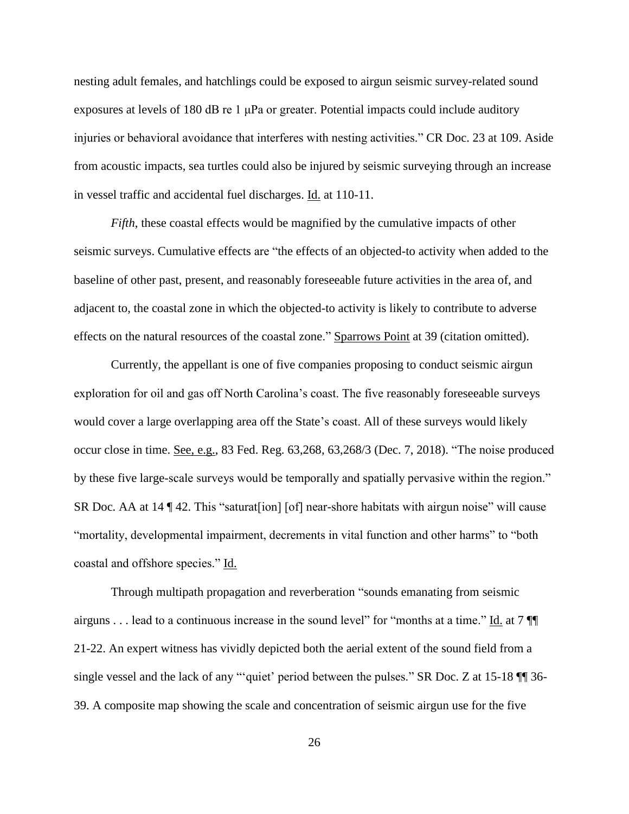nesting adult females, and hatchlings could be exposed to airgun seismic survey-related sound exposures at levels of 180 dB re 1 μPa or greater. Potential impacts could include auditory injuries or behavioral avoidance that interferes with nesting activities." CR Doc. 23 at 109. Aside from acoustic impacts, sea turtles could also be injured by seismic surveying through an increase in vessel traffic and accidental fuel discharges. Id. at 110-11.

*Fifth*, these coastal effects would be magnified by the cumulative impacts of other seismic surveys. Cumulative effects are "the effects of an objected-to activity when added to the baseline of other past, present, and reasonably foreseeable future activities in the area of, and adjacent to, the coastal zone in which the objected-to activity is likely to contribute to adverse effects on the natural resources of the coastal zone." Sparrows Point at 39 (citation omitted).

Currently, the appellant is one of five companies proposing to conduct seismic airgun exploration for oil and gas off North Carolina's coast. The five reasonably foreseeable surveys would cover a large overlapping area off the State's coast. All of these surveys would likely occur close in time. See, e.g., 83 Fed. Reg. 63,268, 63,268/3 (Dec. 7, 2018). "The noise produced by these five large-scale surveys would be temporally and spatially pervasive within the region." SR Doc. AA at 14 ¶ 42. This "saturat [ion] [of] near-shore habitats with airgun noise" will cause "mortality, developmental impairment, decrements in vital function and other harms" to "both coastal and offshore species." Id.

Through multipath propagation and reverberation "sounds emanating from seismic airguns . . . lead to a continuous increase in the sound level" for "months at a time." Id. at 7  $\P$ 21-22. An expert witness has vividly depicted both the aerial extent of the sound field from a single vessel and the lack of any "'quiet' period between the pulses." SR Doc. Z at 15-18 ¶¶ 36- 39. A composite map showing the scale and concentration of seismic airgun use for the five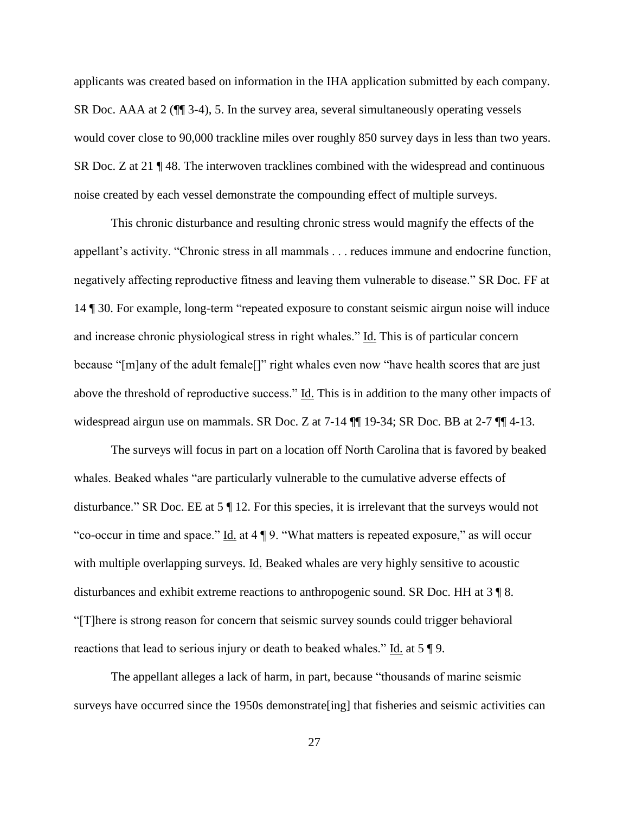applicants was created based on information in the IHA application submitted by each company. SR Doc. AAA at 2 (¶¶ 3-4), 5. In the survey area, several simultaneously operating vessels would cover close to 90,000 trackline miles over roughly 850 survey days in less than two years. SR Doc. Z at 21 ¶ 48. The interwoven tracklines combined with the widespread and continuous noise created by each vessel demonstrate the compounding effect of multiple surveys.

This chronic disturbance and resulting chronic stress would magnify the effects of the appellant's activity. "Chronic stress in all mammals . . . reduces immune and endocrine function, negatively affecting reproductive fitness and leaving them vulnerable to disease." SR Doc. FF at 14 ¶ 30. For example, long-term "repeated exposure to constant seismic airgun noise will induce and increase chronic physiological stress in right whales." Id. This is of particular concern because "[m]any of the adult female[]" right whales even now "have health scores that are just above the threshold of reproductive success." Id. This is in addition to the many other impacts of widespread airgun use on mammals. SR Doc. Z at 7-14 ¶¶ 19-34; SR Doc. BB at 2-7 ¶¶ 4-13.

The surveys will focus in part on a location off North Carolina that is favored by beaked whales. Beaked whales "are particularly vulnerable to the cumulative adverse effects of disturbance." SR Doc. EE at 5 ¶ 12. For this species, it is irrelevant that the surveys would not "co-occur in time and space."  $\underline{Id}$  at 4  $\P$  9. "What matters is repeated exposure," as will occur with multiple overlapping surveys. Id. Beaked whales are very highly sensitive to acoustic disturbances and exhibit extreme reactions to anthropogenic sound. SR Doc. HH at 3 ¶ 8. "[T]here is strong reason for concern that seismic survey sounds could trigger behavioral reactions that lead to serious injury or death to beaked whales." Id. at 5 ¶ 9.

The appellant alleges a lack of harm, in part, because "thousands of marine seismic surveys have occurred since the 1950s demonstrate[ing] that fisheries and seismic activities can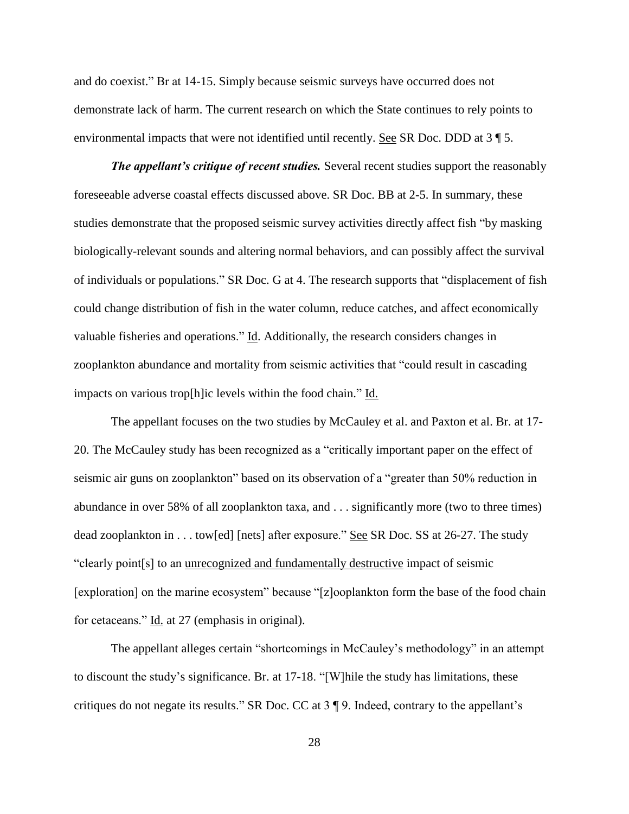and do coexist." Br at 14-15. Simply because seismic surveys have occurred does not demonstrate lack of harm. The current research on which the State continues to rely points to environmental impacts that were not identified until recently. See SR Doc. DDD at 3 ¶ 5.

*The appellant's critique of recent studies.* Several recent studies support the reasonably foreseeable adverse coastal effects discussed above. SR Doc. BB at 2-5. In summary, these studies demonstrate that the proposed seismic survey activities directly affect fish "by masking biologically-relevant sounds and altering normal behaviors, and can possibly affect the survival of individuals or populations." SR Doc. G at 4. The research supports that "displacement of fish could change distribution of fish in the water column, reduce catches, and affect economically valuable fisheries and operations." Id. Additionally, the research considers changes in zooplankton abundance and mortality from seismic activities that "could result in cascading impacts on various trop[h]ic levels within the food chain." Id.

The appellant focuses on the two studies by McCauley et al. and Paxton et al. Br. at 17- 20. The McCauley study has been recognized as a "critically important paper on the effect of seismic air guns on zooplankton" based on its observation of a "greater than 50% reduction in abundance in over 58% of all zooplankton taxa, and . . . significantly more (two to three times) dead zooplankton in . . . tow[ed] [nets] after exposure." See SR Doc. SS at 26-27. The study "clearly point[s] to an unrecognized and fundamentally destructive impact of seismic [exploration] on the marine ecosystem" because "[z]ooplankton form the base of the food chain for cetaceans." Id. at 27 (emphasis in original).

The appellant alleges certain "shortcomings in McCauley's methodology" in an attempt to discount the study's significance. Br. at 17-18. "[W]hile the study has limitations, these critiques do not negate its results." SR Doc. CC at 3 ¶ 9. Indeed, contrary to the appellant's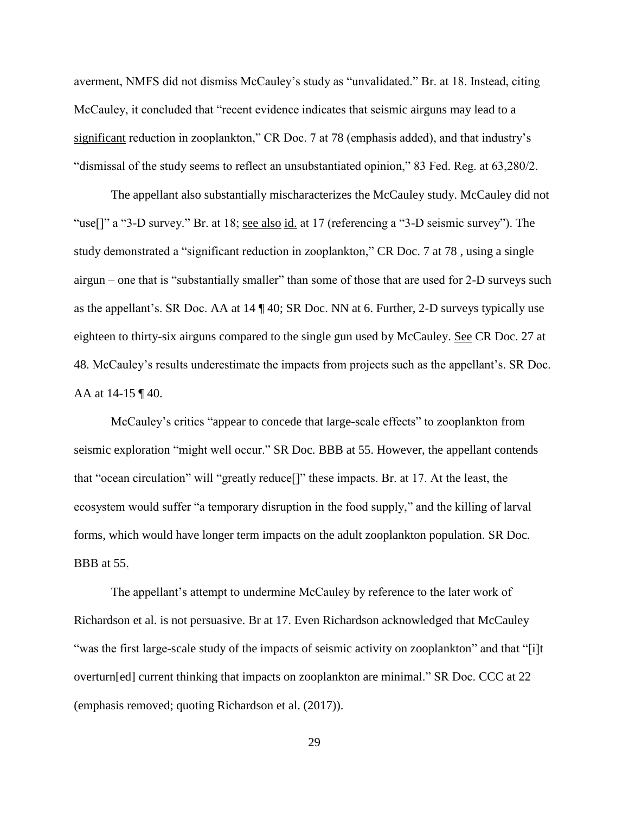averment, NMFS did not dismiss McCauley's study as "unvalidated." Br. at 18. Instead, citing McCauley, it concluded that "recent evidence indicates that seismic airguns may lead to a significant reduction in zooplankton," CR Doc. 7 at 78 (emphasis added), and that industry's "dismissal of the study seems to reflect an unsubstantiated opinion," 83 Fed. Reg. at 63,280/2.

The appellant also substantially mischaracterizes the McCauley study. McCauley did not "use[]" a "3-D survey." Br. at 18; see also id. at 17 (referencing a "3-D seismic survey"). The study demonstrated a "significant reduction in zooplankton," CR Doc. 7 at 78 , using a single airgun – one that is "substantially smaller" than some of those that are used for 2-D surveys such as the appellant's. SR Doc. AA at 14 ¶ 40; SR Doc. NN at 6. Further, 2-D surveys typically use eighteen to thirty-six airguns compared to the single gun used by McCauley. See CR Doc. 27 at 48. McCauley's results underestimate the impacts from projects such as the appellant's. SR Doc. AA at 14-15 ¶ 40.

McCauley's critics "appear to concede that large-scale effects" to zooplankton from seismic exploration "might well occur." SR Doc. BBB at 55. However, the appellant contends that "ocean circulation" will "greatly reduce[]" these impacts. Br. at 17. At the least, the ecosystem would suffer "a temporary disruption in the food supply," and the killing of larval forms, which would have longer term impacts on the adult zooplankton population. SR Doc. BBB at 55.

The appellant's attempt to undermine McCauley by reference to the later work of Richardson et al. is not persuasive. Br at 17. Even Richardson acknowledged that McCauley "was the first large-scale study of the impacts of seismic activity on zooplankton" and that "[i]t overturn[ed] current thinking that impacts on zooplankton are minimal." SR Doc. CCC at 22 (emphasis removed; quoting Richardson et al. (2017)).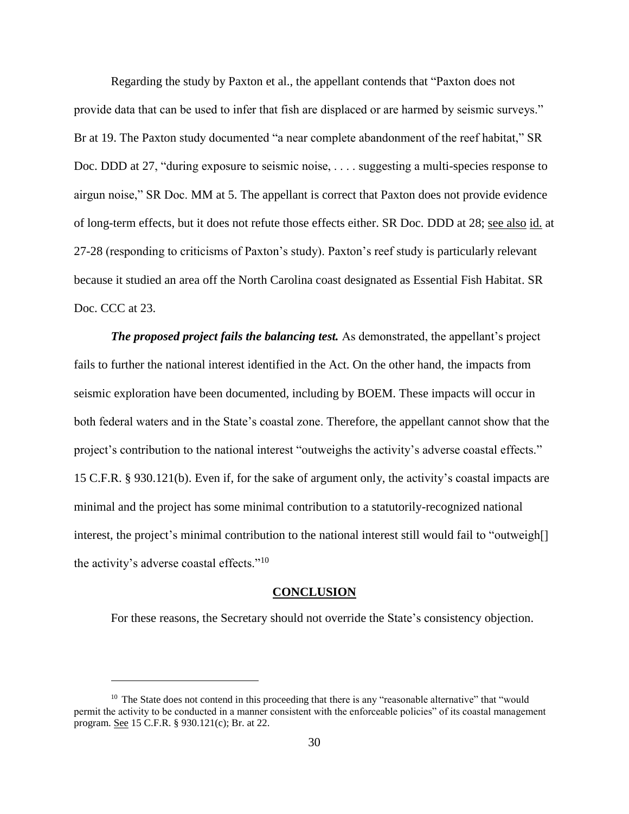Regarding the study by Paxton et al., the appellant contends that "Paxton does not provide data that can be used to infer that fish are displaced or are harmed by seismic surveys." Br at 19. The Paxton study documented "a near complete abandonment of the reef habitat," SR Doc. DDD at 27, "during exposure to seismic noise, ... suggesting a multi-species response to airgun noise," SR Doc. MM at 5. The appellant is correct that Paxton does not provide evidence of long-term effects, but it does not refute those effects either. SR Doc. DDD at 28; see also id. at 27-28 (responding to criticisms of Paxton's study). Paxton's reef study is particularly relevant because it studied an area off the North Carolina coast designated as Essential Fish Habitat. SR Doc. CCC at 23.

*The proposed project fails the balancing test.* As demonstrated, the appellant's project fails to further the national interest identified in the Act. On the other hand, the impacts from seismic exploration have been documented, including by BOEM. These impacts will occur in both federal waters and in the State's coastal zone. Therefore, the appellant cannot show that the project's contribution to the national interest "outweighs the activity's adverse coastal effects." 15 C.F.R. § 930.121(b). Even if, for the sake of argument only, the activity's coastal impacts are minimal and the project has some minimal contribution to a statutorily-recognized national interest, the project's minimal contribution to the national interest still would fail to "outweigh[] the activity's adverse coastal effects."<sup>10</sup>

#### **CONCLUSION**

<span id="page-31-0"></span>For these reasons, the Secretary should not override the State's consistency objection.

<sup>&</sup>lt;sup>10</sup> The State does not contend in this proceeding that there is any "reasonable alternative" that "would permit the activity to be conducted in a manner consistent with the enforceable policies" of its coastal management program. See 15 C.F.R. § 930.121(c); Br. at 22.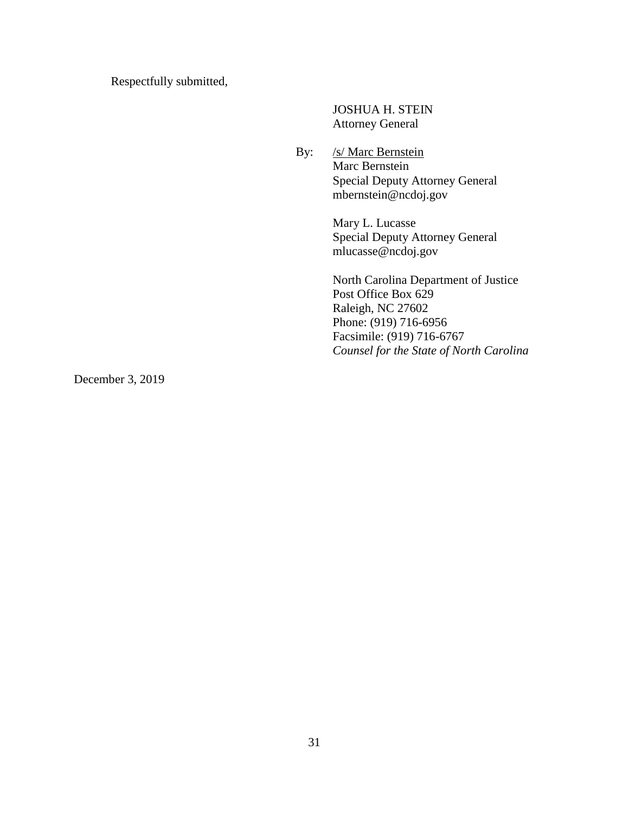Respectfully submitted,

JOSHUA H. STEIN Attorney General

By: /s/ Marc Bernstein Marc Bernstein Special Deputy Attorney General mbernstein@ncdoj.gov

> Mary L. Lucasse Special Deputy Attorney General mlucasse@ncdoj.gov

North Carolina Department of Justice Post Office Box 629 Raleigh, NC 27602 Phone: (919) 716-6956 Facsimile: (919) 716-6767 *Counsel for the State of North Carolina*

December 3, 2019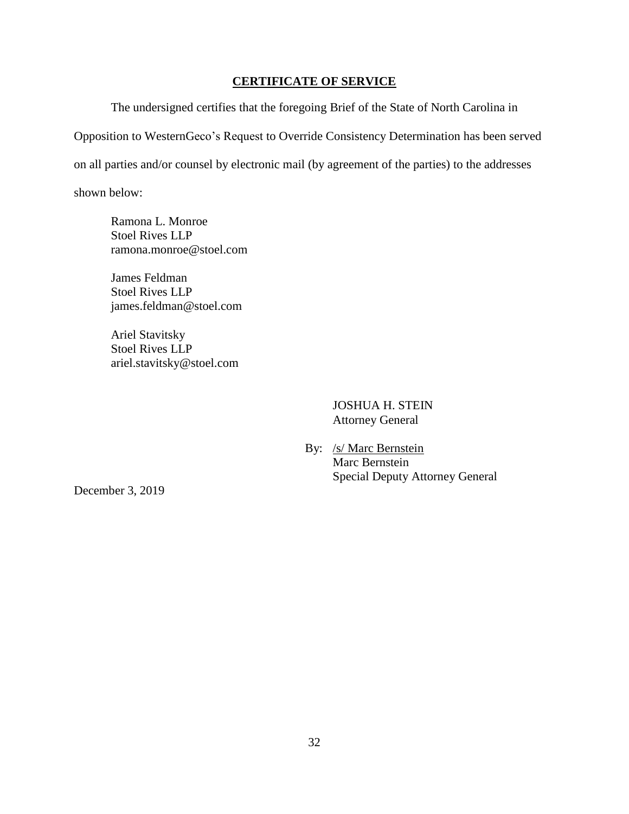#### **CERTIFICATE OF SERVICE**

<span id="page-33-0"></span>The undersigned certifies that the foregoing Brief of the State of North Carolina in Opposition to WesternGeco's Request to Override Consistency Determination has been served on all parties and/or counsel by electronic mail (by agreement of the parties) to the addresses shown below:

Ramona L. Monroe Stoel Rives LLP ramona.monroe@stoel.com

James Feldman Stoel Rives LLP james.feldman@stoel.com

Ariel Stavitsky Stoel Rives LLP ariel.stavitsky@stoel.com

> JOSHUA H. STEIN Attorney General

By: /s/ Marc Bernstein Marc Bernstein Special Deputy Attorney General

December 3, 2019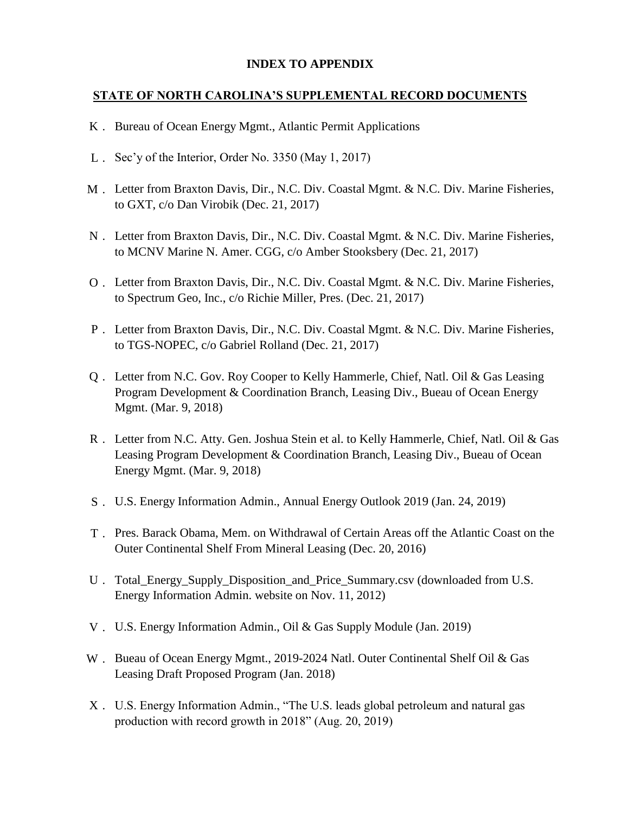### **INDEX TO APPENDIX**

### **STATE OF NORTH CAROLINA'S SUPPLEMENTAL RECORD DOCUMENTS**

- K . Bureau of Ocean Energy Mgmt., Atlantic Permit Applications
- L . Sec'y of the Interior, Order No. 3350 (May 1, 2017)
- M . Letter from Braxton Davis, Dir., N.C. Div. Coastal Mgmt. & N.C. Div. Marine Fisheries, to GXT, c/o Dan Virobik (Dec. 21, 2017)
- N . Letter from Braxton Davis, Dir., N.C. Div. Coastal Mgmt. & N.C. Div. Marine Fisheries, to MCNV Marine N. Amer. CGG, c/o Amber Stooksbery (Dec. 21, 2017)
- O . Letter from Braxton Davis, Dir., N.C. Div. Coastal Mgmt. & N.C. Div. Marine Fisheries, to Spectrum Geo, Inc., c/o Richie Miller, Pres. (Dec. 21, 2017)
- P . Letter from Braxton Davis, Dir., N.C. Div. Coastal Mgmt. & N.C. Div. Marine Fisheries, to TGS-NOPEC, c/o Gabriel Rolland (Dec. 21, 2017)
- Q . Letter from N.C. Gov. Roy Cooper to Kelly Hammerle, Chief, Natl. Oil & Gas Leasing Program Development & Coordination Branch, Leasing Div., Bueau of Ocean Energy Mgmt. (Mar. 9, 2018)
- R . Letter from N.C. Atty. Gen. Joshua Stein et al. to Kelly Hammerle, Chief, Natl. Oil & Gas Leasing Program Development & Coordination Branch, Leasing Div., Bueau of Ocean Energy Mgmt. (Mar. 9, 2018)
- S . U.S. Energy Information Admin., Annual Energy Outlook 2019 (Jan. 24, 2019)
- T . Pres. Barack Obama, Mem. on Withdrawal of Certain Areas off the Atlantic Coast on the Outer Continental Shelf From Mineral Leasing (Dec. 20, 2016)
- U . Total\_Energy\_Supply\_Disposition\_and\_Price\_Summary.csv (downloaded from U.S. Energy Information Admin. website on Nov. 11, 2012)
- V . U.S. Energy Information Admin., Oil & Gas Supply Module (Jan. 2019)
- W . Bueau of Ocean Energy Mgmt., 2019-2024 Natl. Outer Continental Shelf Oil & Gas Leasing Draft Proposed Program (Jan. 2018)
- X . U.S. Energy Information Admin., "The U.S. leads global petroleum and natural gas production with record growth in 2018" (Aug. 20, 2019)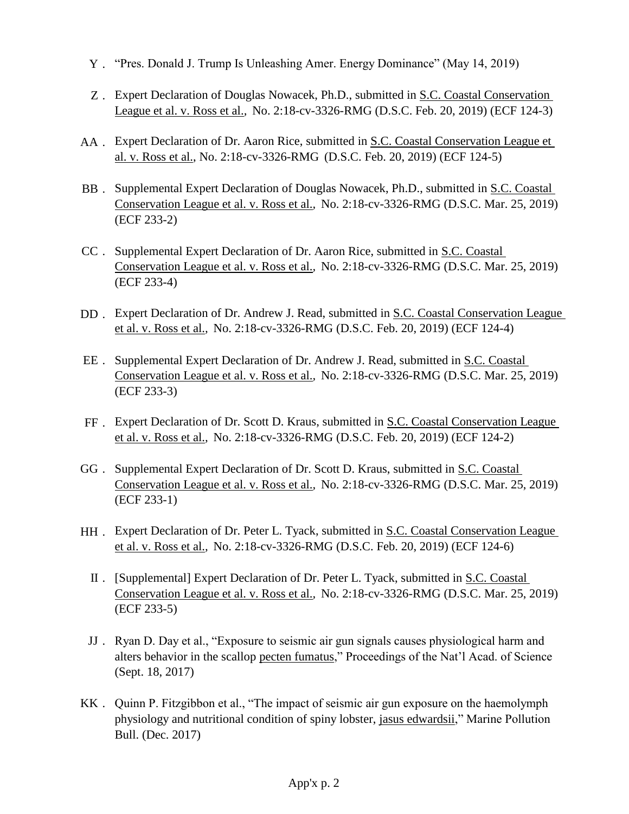- Y . "Pres. Donald J. Trump Is Unleashing Amer. Energy Dominance" (May 14, 2019)
- Z. Expert Declaration of Douglas Nowacek, Ph.D., submitted in S.C. Coastal Conservation League et al. v. Ross et al.*,* No. 2:18-cv-3326-RMG (D.S.C. Feb. 20, 2019) (ECF 124-3)
- AA . Expert Declaration of Dr. Aaron Rice, submitted in S.C. Coastal Conservation League et al. v. Ross et al., No. 2:18-cv-3326-RMG (D.S.C. Feb. 20, 2019) (ECF 124-5)
- BB . Supplemental Expert Declaration of Douglas Nowacek, Ph.D., submitted in S.C. Coastal Conservation League et al. v. Ross et al.*,* No. 2:18-cv-3326-RMG (D.S.C. Mar. 25, 2019) (ECF 233-2)
- CC . Supplemental Expert Declaration of Dr. Aaron Rice, submitted in S.C. Coastal Conservation League et al. v. Ross et al.*,* No. 2:18-cv-3326-RMG (D.S.C. Mar. 25, 2019) (ECF 233-4)
- DD . Expert Declaration of Dr. Andrew J. Read, submitted in S.C. Coastal Conservation League et al. v. Ross et al.*,* No. 2:18-cv-3326-RMG (D.S.C. Feb. 20, 2019) (ECF 124-4)
- EE . Supplemental Expert Declaration of Dr. Andrew J. Read, submitted in S.C. Coastal Conservation League et al. v. Ross et al.*,* No. 2:18-cv-3326-RMG (D.S.C. Mar. 25, 2019) (ECF 233-3)
- FF. Expert Declaration of Dr. Scott D. Kraus, submitted in <u>S.C. Coastal Conservation League</u> et al. v. Ross et al.*,* No. 2:18-cv-3326-RMG (D.S.C. Feb. 20, 2019) (ECF 124-2)
- GG . Supplemental Expert Declaration of Dr. Scott D. Kraus, submitted in S.C. Coastal Conservation League et al. v. Ross et al.*,* No. 2:18-cv-3326-RMG (D.S.C. Mar. 25, 2019) (ECF 233-1)
- HH . Expert Declaration of Dr. Peter L. Tyack, submitted in <u>S.C. Coastal Conservation League</u> et al. v. Ross et al.*,* No. 2:18-cv-3326-RMG (D.S.C. Feb. 20, 2019) (ECF 124-6)
	- II . [Supplemental] Expert Declaration of Dr. Peter L. Tyack, submitted in S.C. Coastal Conservation League et al. v. Ross et al.*,* No. 2:18-cv-3326-RMG (D.S.C. Mar. 25, 2019) (ECF 233-5)
	- JJ . Ryan D. Day et al., "Exposure to seismic air gun signals causes physiological harm and alters behavior in the scallop pecten fumatus," Proceedings of the Nat'l Acad. of Science (Sept. 18, 2017)
- KK . Quinn P. Fitzgibbon et al., "The impact of seismic air gun exposure on the haemolymph physiology and nutritional condition of spiny lobster, jasus edwardsii," Marine Pollution Bull. (Dec. 2017)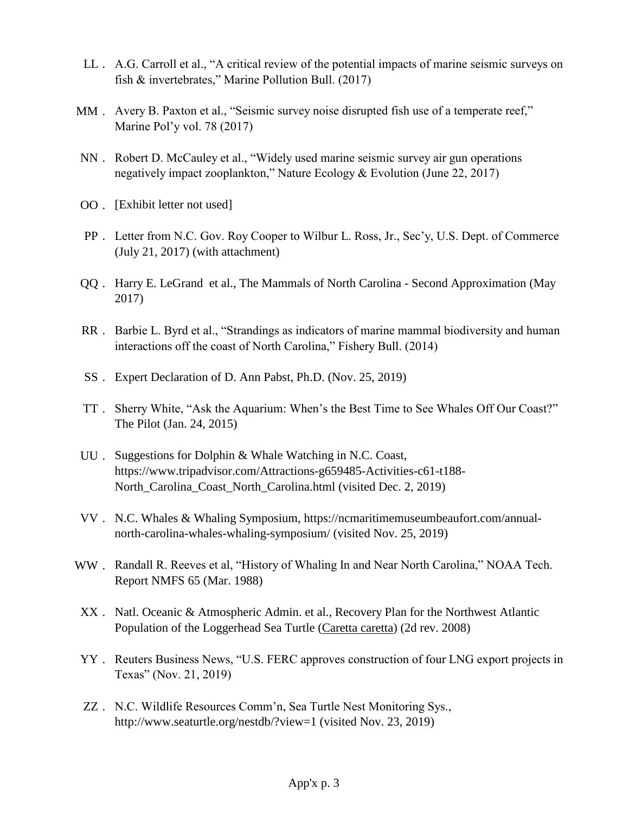- LL . A.G. Carroll et al., "A critical review of the potential impacts of marine seismic surveys on fish & invertebrates," Marine Pollution Bull. (2017)
- MM . Avery B. Paxton et al., "Seismic survey noise disrupted fish use of a temperate reef," Marine Pol'y vol. 78 (2017)
- NN . Robert D. McCauley et al., "Widely used marine seismic survey air gun operations negatively impact zooplankton," Nature Ecology & Evolution (June 22, 2017)
- OO . [Exhibit letter not used]
- PP . Letter from N.C. Gov. Roy Cooper to Wilbur L. Ross, Jr., Sec'y, U.S. Dept. of Commerce (July 21, 2017) (with attachment)
- QQ . Harry E. LeGrand et al., The Mammals of North Carolina Second Approximation (May 2017)
- RR . Barbie L. Byrd et al., "Strandings as indicators of marine mammal biodiversity and human interactions off the coast of North Carolina," Fishery Bull. (2014)
- SS . Expert Declaration of D. Ann Pabst, Ph.D. (Nov. 25, 2019)
- TT . Sherry White, "Ask the Aquarium: When's the Best Time to See Whales Off Our Coast?" The Pilot (Jan. 24, 2015)
- UU . Suggestions for Dolphin & Whale Watching in N.C. Coast, https://www.tripadvisor.com/Attractions-g659485-Activities-c61-t188- North\_Carolina\_Coast\_North\_Carolina.html (visited Dec. 2, 2019)
- VV . N.C. Whales & Whaling Symposium, https://ncmaritimemuseumbeaufort.com/annualnorth-carolina-whales-whaling-symposium/ (visited Nov. 25, 2019)
- WW . Randall R. Reeves et al, "History of Whaling In and Near North Carolina," NOAA Tech. Report NMFS 65 (Mar. 1988)
- XX . Natl. Oceanic & Atmospheric Admin. et al., Recovery Plan for the Northwest Atlantic Population of the Loggerhead Sea Turtle (Caretta caretta) (2d rev. 2008)
- YY . Reuters Business News, "U.S. FERC approves construction of four LNG export projects in Texas" (Nov. 21, 2019)
- ZZ . N.C. Wildlife Resources Comm'n, Sea Turtle Nest Monitoring Sys., http://www.seaturtle.org/nestdb/?view=1 (visited Nov. 23, 2019)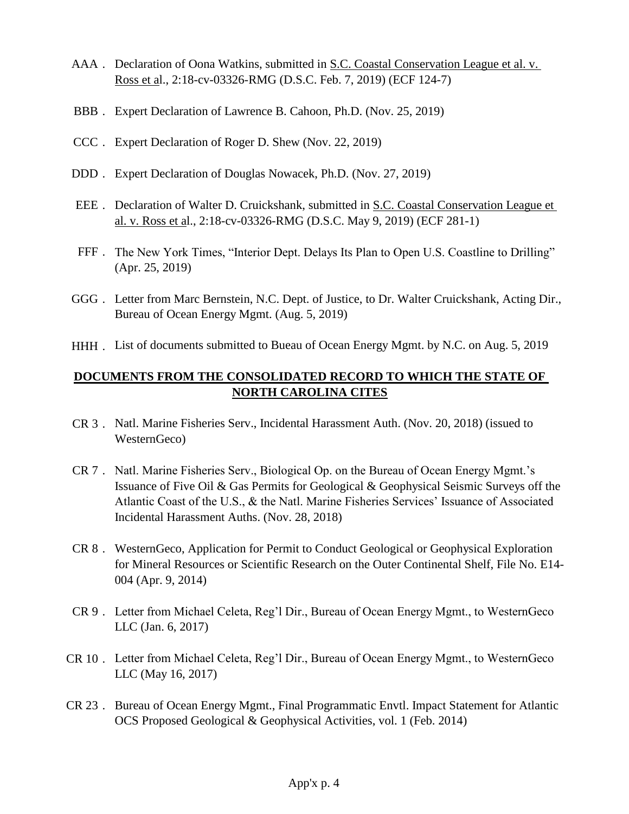- AAA . Declaration of Oona Watkins, submitted in S.C. Coastal Conservation League et al. v. Ross et al., 2:18-cv-03326-RMG (D.S.C. Feb. 7, 2019) (ECF 124-7)
- BBB . Expert Declaration of Lawrence B. Cahoon, Ph.D. (Nov. 25, 2019)
- CCC . Expert Declaration of Roger D. Shew (Nov. 22, 2019)
- DDD . Expert Declaration of Douglas Nowacek, Ph.D. (Nov. 27, 2019)
- EEE . Declaration of Walter D. Cruickshank, submitted in S.C. Coastal Conservation League et al. v. Ross et al., 2:18-cv-03326-RMG (D.S.C. May 9, 2019) (ECF 281-1)
- FFF . The New York Times, "Interior Dept. Delays Its Plan to Open U.S. Coastline to Drilling" (Apr. 25, 2019)
- GGG . Letter from Marc Bernstein, N.C. Dept. of Justice, to Dr. Walter Cruickshank, Acting Dir., Bureau of Ocean Energy Mgmt. (Aug. 5, 2019)
- HHH . List of documents submitted to Bueau of Ocean Energy Mgmt. by N.C. on Aug. 5, 2019

## **DOCUMENTS FROM THE CONSOLIDATED RECORD TO WHICH THE STATE OF NORTH CAROLINA CITES**

- CR 3 . Natl. Marine Fisheries Serv., Incidental Harassment Auth. (Nov. 20, 2018) (issued to WesternGeco)
- CR 7 . Natl. Marine Fisheries Serv., Biological Op. on the Bureau of Ocean Energy Mgmt.'s Issuance of Five Oil & Gas Permits for Geological & Geophysical Seismic Surveys off the Atlantic Coast of the U.S., & the Natl. Marine Fisheries Services' Issuance of Associated Incidental Harassment Auths. (Nov. 28, 2018)
- CR 8 . WesternGeco, Application for Permit to Conduct Geological or Geophysical Exploration for Mineral Resources or Scientific Research on the Outer Continental Shelf, File No. E14- 004 (Apr. 9, 2014)
- CR 9 . Letter from Michael Celeta, Reg'l Dir., Bureau of Ocean Energy Mgmt., to WesternGeco LLC (Jan. 6, 2017)
- CR 10 . Letter from Michael Celeta, Reg'l Dir., Bureau of Ocean Energy Mgmt., to WesternGeco LLC (May 16, 2017)
- CR 23 . Bureau of Ocean Energy Mgmt., Final Programmatic Envtl. Impact Statement for Atlantic OCS Proposed Geological & Geophysical Activities, vol. 1 (Feb. 2014)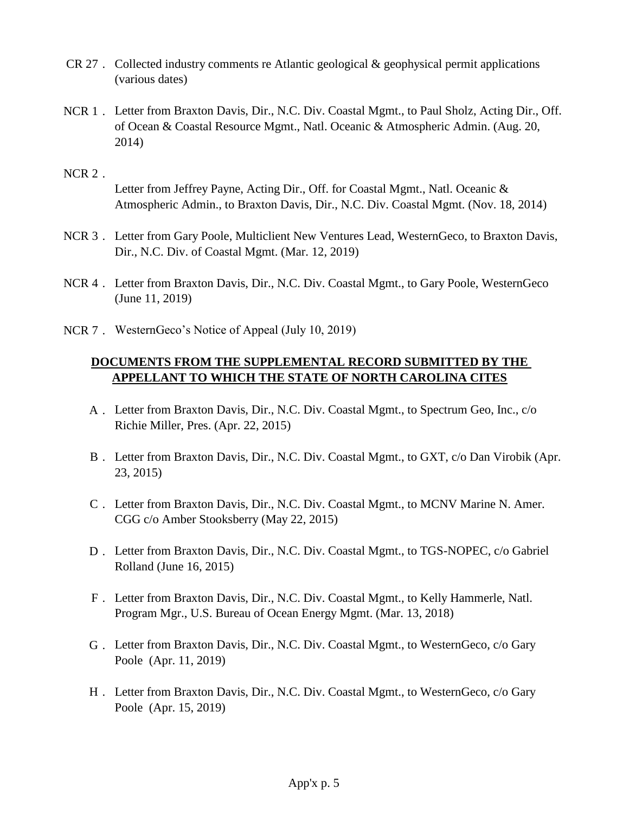- CR 27 . Collected industry comments re Atlantic geological & geophysical permit applications (various dates)
- NCR 1 . Letter from Braxton Davis, Dir., N.C. Div. Coastal Mgmt., to Paul Sholz, Acting Dir., Off. of Ocean & Coastal Resource Mgmt., Natl. Oceanic & Atmospheric Admin. (Aug. 20, 2014)

#### NCR 2 .

Letter from Jeffrey Payne, Acting Dir., Off. for Coastal Mgmt., Natl. Oceanic & Atmospheric Admin., to Braxton Davis, Dir., N.C. Div. Coastal Mgmt. (Nov. 18, 2014)

- NCR 3 . Letter from Gary Poole, Multiclient New Ventures Lead, WesternGeco, to Braxton Davis, Dir., N.C. Div. of Coastal Mgmt. (Mar. 12, 2019)
- NCR 4 . Letter from Braxton Davis, Dir., N.C. Div. Coastal Mgmt., to Gary Poole, WesternGeco (June 11, 2019)
- NCR 7 . WesternGeco's Notice of Appeal (July 10, 2019)

## **DOCUMENTS FROM THE SUPPLEMENTAL RECORD SUBMITTED BY THE APPELLANT TO WHICH THE STATE OF NORTH CAROLINA CITES**

- A . Letter from Braxton Davis, Dir., N.C. Div. Coastal Mgmt., to Spectrum Geo, Inc., c/o Richie Miller, Pres. (Apr. 22, 2015)
- B . Letter from Braxton Davis, Dir., N.C. Div. Coastal Mgmt., to GXT, c/o Dan Virobik (Apr. 23, 2015)
- C . Letter from Braxton Davis, Dir., N.C. Div. Coastal Mgmt., to MCNV Marine N. Amer. CGG c/o Amber Stooksberry (May 22, 2015)
- D . Letter from Braxton Davis, Dir., N.C. Div. Coastal Mgmt., to TGS-NOPEC, c/o Gabriel Rolland (June 16, 2015)
- F . Letter from Braxton Davis, Dir., N.C. Div. Coastal Mgmt., to Kelly Hammerle, Natl. Program Mgr., U.S. Bureau of Ocean Energy Mgmt. (Mar. 13, 2018)
- G . Letter from Braxton Davis, Dir., N.C. Div. Coastal Mgmt., to WesternGeco, c/o Gary Poole (Apr. 11, 2019)
- H . Letter from Braxton Davis, Dir., N.C. Div. Coastal Mgmt., to WesternGeco, c/o Gary Poole (Apr. 15, 2019)